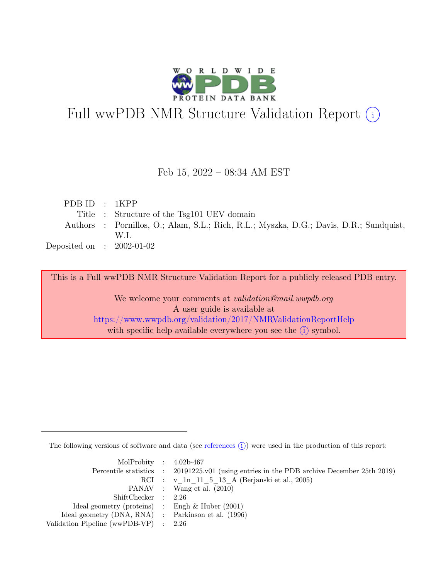

# Full wwPDB NMR Structure Validation Report (i)

### Feb 15, 2022 – 08:34 AM EST

| PDB ID $: 1KPP$             |                                                                                        |
|-----------------------------|----------------------------------------------------------------------------------------|
|                             | Title : Structure of the Tsg101 UEV domain                                             |
|                             | Authors : Pornillos, O.; Alam, S.L.; Rich, R.L.; Myszka, D.G.; Davis, D.R.; Sundquist, |
|                             | W.L                                                                                    |
| Deposited on : $2002-01-02$ |                                                                                        |

This is a Full wwPDB NMR Structure Validation Report for a publicly released PDB entry.

We welcome your comments at *validation@mail.wwpdb.org* A user guide is available at <https://www.wwpdb.org/validation/2017/NMRValidationReportHelp> with specific help available everywhere you see the  $(i)$  symbol.

The following versions of software and data (see [references](https://www.wwpdb.org/validation/2017/NMRValidationReportHelp#references)  $\hat{I}$ ) were used in the production of this report:

| MolProbity : $4.02b-467$                            |                                                                                            |
|-----------------------------------------------------|--------------------------------------------------------------------------------------------|
|                                                     | Percentile statistics : 20191225.v01 (using entries in the PDB archive December 25th 2019) |
|                                                     | RCI : v 1n 11 5 13 A (Berjanski et al., 2005)                                              |
|                                                     | PANAV : Wang et al. (2010)                                                                 |
| ShiftChecker : 2.26                                 |                                                                                            |
| Ideal geometry (proteins) : Engh $\&$ Huber (2001)  |                                                                                            |
| Ideal geometry (DNA, RNA) : Parkinson et al. (1996) |                                                                                            |
| Validation Pipeline (wwPDB-VP) $\therefore$ 2.26    |                                                                                            |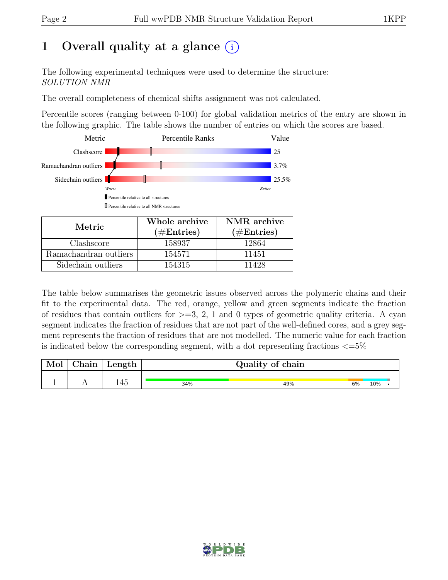# 1 Overall quality at a glance  $(i)$

The following experimental techniques were used to determine the structure: SOLUTION NMR

The overall completeness of chemical shifts assignment was not calculated.

Percentile scores (ranging between 0-100) for global validation metrics of the entry are shown in the following graphic. The table shows the number of entries on which the scores are based.



| Metric.               | Whole archive<br>$(\#Entries)$ | NMR archive<br>$(\#Entries)$ |
|-----------------------|--------------------------------|------------------------------|
| Clashscore            | 158937                         | 12864                        |
| Ramachandran outliers | 154571                         | 11451                        |
| Sidechain outliers    | 154315                         | 11428                        |

The table below summarises the geometric issues observed across the polymeric chains and their fit to the experimental data. The red, orange, yellow and green segments indicate the fraction of residues that contain outliers for  $>=$  3, 2, 1 and 0 types of geometric quality criteria. A cyan segment indicates the fraction of residues that are not part of the well-defined cores, and a grey segment represents the fraction of residues that are not modelled. The numeric value for each fraction is indicated below the corresponding segment, with a dot representing fractions  $\langle=5\%$ 

| Mol | Chain | Length |     | Quality of chain |    |     |  |  |  |
|-----|-------|--------|-----|------------------|----|-----|--|--|--|
|     |       | 145    |     |                  |    | 10% |  |  |  |
|     |       |        | 34% | 49%              | 6% |     |  |  |  |

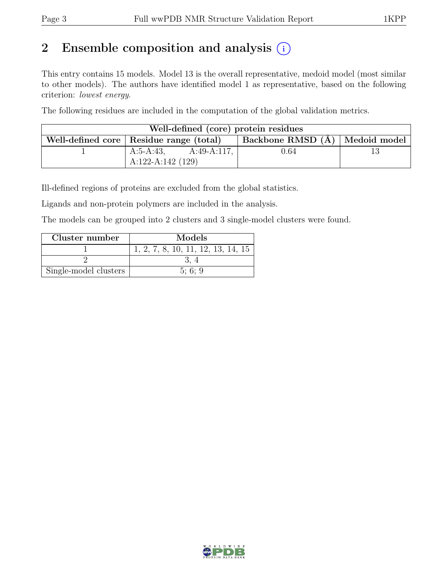# 2 Ensemble composition and analysis  $(i)$

This entry contains 15 models. Model 13 is the overall representative, medoid model (most similar to other models). The authors have identified model 1 as representative, based on the following criterion: lowest energy.

The following residues are included in the computation of the global validation metrics.

| Well-defined (core) protein residues                                          |                          |      |  |  |  |  |
|-------------------------------------------------------------------------------|--------------------------|------|--|--|--|--|
| Backbone RMSD $(A)$ Medoid model<br>Well-defined core   Residue range (total) |                          |      |  |  |  |  |
|                                                                               | A:49-A:117,<br>A:5-A:43, | 0.64 |  |  |  |  |
|                                                                               | A:122-A:142 $(129)$      |      |  |  |  |  |

Ill-defined regions of proteins are excluded from the global statistics.

Ligands and non-protein polymers are included in the analysis.

The models can be grouped into 2 clusters and 3 single-model clusters were found.

| Cluster number        | Models                             |
|-----------------------|------------------------------------|
|                       | 1, 2, 7, 8, 10, 11, 12, 13, 14, 15 |
|                       |                                    |
| Single-model clusters | 5:6:9                              |

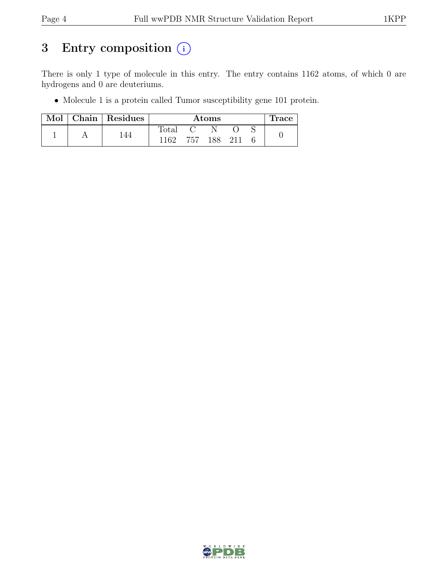# 3 Entry composition  $(i)$

There is only 1 type of molecule in this entry. The entry contains 1162 atoms, of which 0 are hydrogens and 0 are deuteriums.

• Molecule 1 is a protein called Tumor susceptibility gene 101 protein.

| Mol |  | Chain Residues | $\rm{Atoms}$ |     |  |         |  | <b>Trace</b> |
|-----|--|----------------|--------------|-----|--|---------|--|--------------|
|     |  |                | Total        |     |  |         |  |              |
|     |  | 44             | 1162         | 757 |  | 188 211 |  |              |

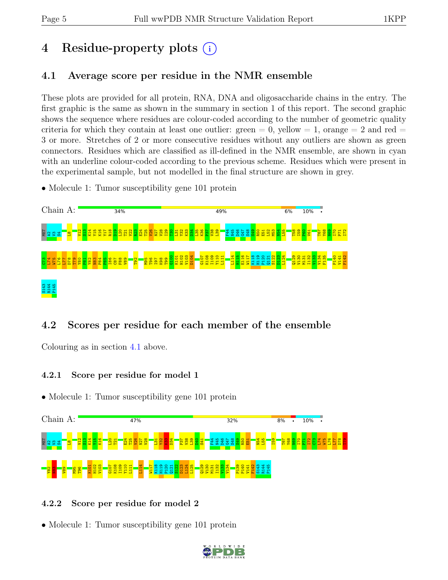# 4 Residue-property plots (i)

## <span id="page-4-0"></span>4.1 Average score per residue in the NMR ensemble

These plots are provided for all protein, RNA, DNA and oligosaccharide chains in the entry. The first graphic is the same as shown in the summary in section 1 of this report. The second graphic shows the sequence where residues are colour-coded according to the number of geometric quality criteria for which they contain at least one outlier:  $green = 0$ ,  $yellow = 1$ ,  $orange = 2$  and  $red =$ 3 or more. Stretches of 2 or more consecutive residues without any outliers are shown as green connectors. Residues which are classified as ill-defined in the NMR ensemble, are shown in cyan with an underline colour-coded according to the previous scheme. Residues which were present in the experimental sample, but not modelled in the final structure are shown in grey.

• Molecule 1: Tumor susceptibility gene 101 protein



## 4.2 Scores per residue for each member of the ensemble

Colouring as in section [4.1](#page-4-0) above.

### 4.2.1 Score per residue for model 1

• Molecule 1: Tumor susceptibility gene 101 protein



### 4.2.2 Score per residue for model 2

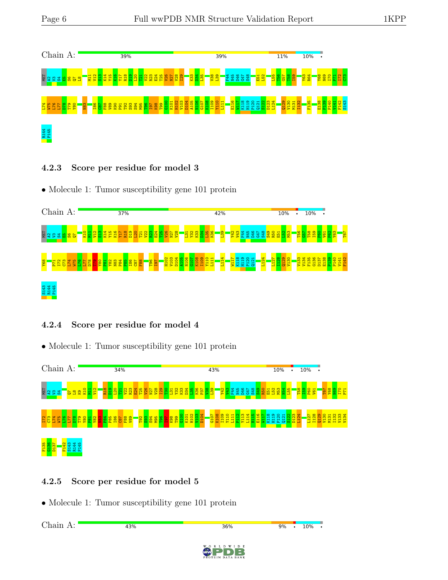

4.2.3 Score per residue for model 3





### 4.2.4 Score per residue for model 4

• Molecule 1: Tumor susceptibility gene 101 protein



## 4.2.5 Score per residue for model 5

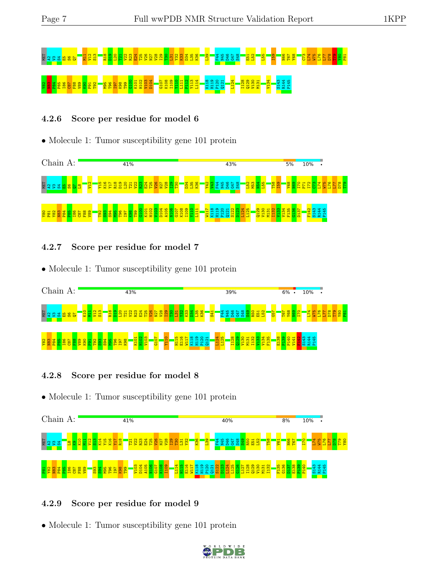# Mat a varies of the state of the state of the state of the state of the state of the state of the state of the<br>Mat a varies of the state of the state of the state of the state of the state of the state of the state of the Y82 N83 P84 P85 I86 C87 F88 V89 K90 P91 T92 M95 T96 I97 K98 T99 G100 K101 H102 V103 D104 G107 K108 I109 Y110 L111 P112 Y113 L114 K118 H119 P120 Q121 L124 I128 Q129 V130 M131 V134 S143 R144 P145

### 4.2.6 Score per residue for model 6

• Molecule 1: Tumor susceptibility gene 101 protein



### 4.2.7 Score per residue for model 7

• Molecule 1: Tumor susceptibility gene 101 protein



#### 4.2.8 Score per residue for model 8

• Molecule 1: Tumor susceptibility gene 101 protein



### 4.2.9 Score per residue for model 9

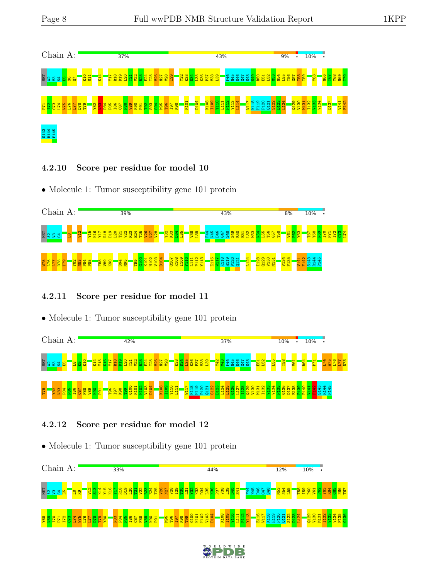

#### 4.2.10 Score per residue for model 10

• Molecule 1: Tumor susceptibility gene 101 protein



### 4.2.11 Score per residue for model 11

• Molecule 1: Tumor susceptibility gene 101 protein



### 4.2.12 Score per residue for model 12



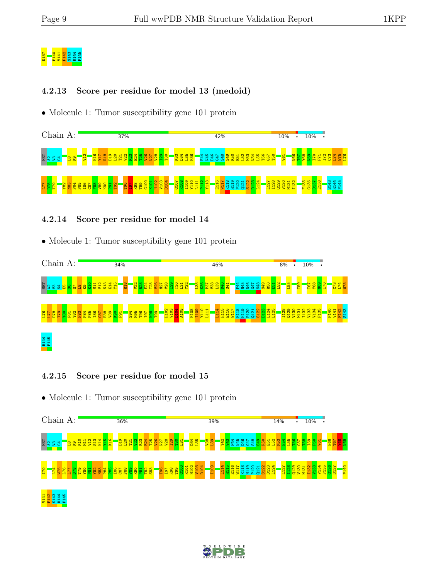# D137<br>P141 141<br>P141 P144<br>P140 P14

### 4.2.13 Score per residue for model 13 (medoid)

• Molecule 1: Tumor susceptibility gene 101 protein



### 4.2.14 Score per residue for model 14

• Molecule 1: Tumor susceptibility gene 101 protein



### 4.2.15 Score per residue for model 15



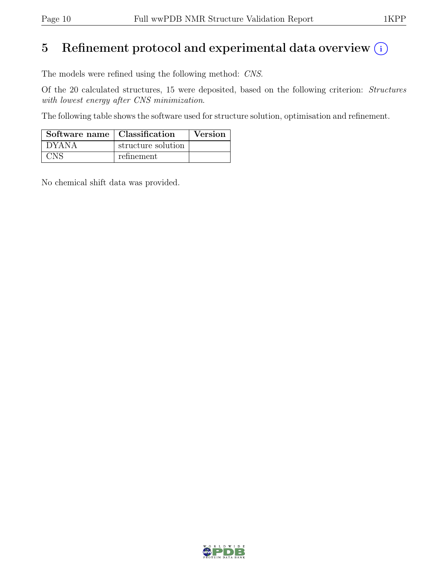## 5 Refinement protocol and experimental data overview  $(i)$

The models were refined using the following method: CNS.

Of the 20 calculated structures, 15 were deposited, based on the following criterion: Structures with lowest energy after CNS minimization.

The following table shows the software used for structure solution, optimisation and refinement.

| Software name   Classification |                    | Version |
|--------------------------------|--------------------|---------|
| DYANA                          | structure solution |         |
| CNS                            | refinement         |         |

No chemical shift data was provided.

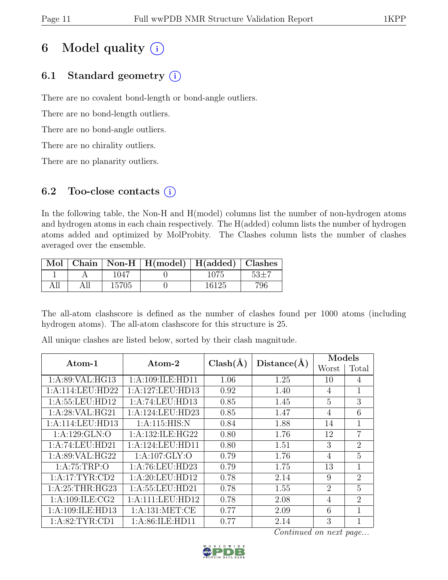# 6 Model quality  $(i)$

## 6.1 Standard geometry  $(i)$

There are no covalent bond-length or bond-angle outliers.

There are no bond-length outliers.

There are no bond-angle outliers.

There are no chirality outliers.

There are no planarity outliers.

### 6.2 Too-close contacts  $(i)$

In the following table, the Non-H and H(model) columns list the number of non-hydrogen atoms and hydrogen atoms in each chain respectively. The H(added) column lists the number of hydrogen atoms added and optimized by MolProbity. The Clashes column lists the number of clashes averaged over the ensemble.

|  |       | Mol   Chain   Non-H   H(model)   H(added)   Clashes |       |          |
|--|-------|-----------------------------------------------------|-------|----------|
|  | 1047  |                                                     | 1075  | $52 + 7$ |
|  | 15705 |                                                     | 16125 | 796      |

The all-atom clashscore is defined as the number of clashes found per 1000 atoms (including hydrogen atoms). The all-atom clashscore for this structure is 25.

| Atom-1              | $\boldsymbol{\mathrm{Atom}\text{-}2}$ | $Clash(\AA)$ | Distance(A) | Models         |                |  |
|---------------------|---------------------------------------|--------------|-------------|----------------|----------------|--|
|                     |                                       |              |             | Worst          | Total          |  |
| 1: A:89: VAL: HG13  | 1:A:109:ILE:HD11                      | 1.06         | 1.25        | 10             | 4              |  |
| 1: A:114: LEU: HD22 | 1:A:127:LEU:HD13                      | 0.92         | 1.40        | $\overline{4}$ | 1              |  |
| 1: A:55:LEU:HD12    | 1:A:74:LEU:HD13                       | 0.85         | 1.45        | 5              | 3              |  |
| 1:A:28:VAL:HG21     | 1:A:124:LEU:HD23                      | 0.85         | 1.47        | 4              | 6              |  |
| 1:A:114:LEU:HD13    | 1: A:115: HIS:N                       | 0.84         | 1.88        | 14             | 1              |  |
| 1:A:129:GLN:O       | 1:A:132:ILE:HG22                      | 0.80         | 1.76        | 12             | $\overline{7}$ |  |
| 1:A:74:LEU:HD21     | 1:A:124:LEU:HD11                      | 0.80         | 1.51        | 3              | 2              |  |
| 1: A:89: VAL: HG22  | 1: A: 107: GLY: O                     | 0.79         | 1.76        | $\overline{4}$ | 5              |  |
| 1: A:75:TRP:O       | 1:A:76:LEU:HD23                       | 0.79         | 1.75        | 13             | 1              |  |
| 1: A:17:TYR:CD2     | 1:A:20:LEU:HD12                       | 0.78         | 2.14        | 9              | $\overline{2}$ |  |
| 1: A:25:THR:HG23    | 1:A:55:LEU:HD21                       | 0.78         | 1.55        | $\overline{2}$ | 5              |  |
| 1: A:109: ILE: CG2  | 1:A:111:LEU:HD12                      | 0.78         | 2.08        | $\overline{4}$ | $\overline{2}$ |  |
| 1:A:109:ILE:HD13    | 1: A: 131: MET: CE                    | 0.77         | 2.09        | 6              | $\mathbf{1}$   |  |
| 1: A:82:TYR:CD1     | 1:A:86:ILE:HD11                       | 0.77         | 2.14        | 3              | 1              |  |

All unique clashes are listed below, sorted by their clash magnitude.

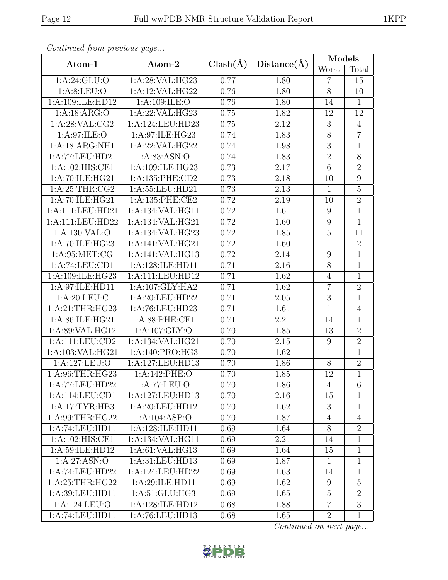| Continuea from previous page |                    |              |                   | Models         |                |  |
|------------------------------|--------------------|--------------|-------------------|----------------|----------------|--|
| Atom-1                       | Atom-2             | $Clash(\AA)$ | Distance(A)       | Worst          | Total          |  |
| 1: A:24: GLU:O               | 1:A:28:VAL:HG23    | 0.77         | 1.80              | $\overline{7}$ | 15             |  |
| 1: A:8: LEU:O                | 1:A:12:VAL:HG22    | 0.76         | 1.80              | $\overline{8}$ | 10             |  |
| 1:A:109:ILE:HD12             | 1:A:109:ILE:O      | 0.76         | 1.80              | 14             | $\mathbf{1}$   |  |
| 1:A:18:ARG:O                 | 1:A:22:VAL:HG23    | 0.75         | 1.82              | 12             | 12             |  |
| 1: A:28: VAL:CG2             | 1:A:124:LEU:HD23   | 0.75         | 2.12              | $\sqrt{3}$     | $\overline{4}$ |  |
| 1:A:97:ILE:O                 | 1:A:97:ILE:HG23    | 0.74         | 1.83              | 8              | $\overline{7}$ |  |
| 1:A:18:ARG:NH1               | 1:A:22:VAL:HG22    | 0.74         | 1.98              | $\overline{3}$ | $\overline{1}$ |  |
| 1:A:77:LEU:HD21              | 1: A:83: ASN:O     | 0.74         | 1.83              | $\overline{2}$ | 8              |  |
| 1:A:102:HIS:CE1              | 1:A:109:ILE:HG23   | 0.73         | 2.17              | $\overline{6}$ | $\overline{2}$ |  |
| 1:A:70:ILE:HG21              | 1:A:135:PHE:CD2    | 0.73         | 2.18              | 10             | 9              |  |
| 1: A:25:THR:CG2              | 1:A:55:LEU:HD21    | 0.73         | 2.13              | $\mathbf{1}$   | $\overline{5}$ |  |
| 1:A:70:ILE:HG21              | 1:A:135:PHE:CE2    | 0.72         | 2.19              | 10             | $\overline{2}$ |  |
| 1:A:111:LEU:HD21             | 1:A:134:VAL:HG11   | 0.72         | 1.61              | 9              | $\mathbf{1}$   |  |
| 1:A:111:LEU:HD22             | 1:A:134:VAL:HG21   | 0.72         | 1.60              | 9              | 1              |  |
| 1: A: 130: VAL: O            | 1:A:134:VAL:HG23   | 0.72         | 1.85              | $5\,$          | 11             |  |
| 1: A:70: ILE: HG23           | 1:A:141:VAL:HG21   | 0.72         | 1.60              | $\mathbf{1}$   | $\overline{2}$ |  |
| 1: A:95:MET:CG               | 1:A:141:VAL:HG13   | 0.72         | 2.14              | 9              | $\mathbf{1}$   |  |
| 1:A:74:LEU:CD1               | 1:A:128:ILE:HD11   | 0.71         | 2.16              | $\overline{8}$ | $\mathbf{1}$   |  |
| 1:A:109:ILE:HG23             | 1:A:111:LEU:HD12   | 0.71         | 1.62              | $\overline{4}$ | $\overline{1}$ |  |
| 1:A:97:ILE:HD11              | 1: A:107: GLY: HA2 | 0.71         | 1.62              | $\overline{7}$ | $\overline{2}$ |  |
| 1: A:20:LEU:C                | 1:A:20:LEU:HD22    | 0.71         | 2.05              | $\overline{3}$ | $\mathbf{1}$   |  |
| 1:A:21:THR:HG23              | 1:A:76:LEU:HD23    | 0.71         | 1.61              | $\mathbf{1}$   | $\overline{4}$ |  |
| 1:A:86:ILE:HG21              | 1:A:88:PHE:CE1     | 0.71         | $\overline{2.21}$ | 14             | $\overline{1}$ |  |
| 1:A:89:VAL:HG12              | 1:A:107:GLY:O      | 0.70         | 1.85              | 13             | $\overline{2}$ |  |
| 1:A:111:LEU:CD2              | 1:A:134:VAL:HG21   | 0.70         | 2.15              | 9              | $\overline{2}$ |  |
| 1:A:103:VAL:HG21             | 1:A:140:PRO:HG3    | 0.70         | 1.62              | $\mathbf{1}$   | 1              |  |
| 1:A:127:LEU:O                | 1:A:127:LEU:HD13   | 0.70         | 1.86              | $8\,$          | $\overline{2}$ |  |
| 1:A:96:THR:HG23              | 1:A:142:PHE:O      | 0.70         | 1.85              | 12             | $\overline{1}$ |  |
| 1:A:77:LEU:HD22              | 1:A:77:LEU:O       | 0.70         | 1.86              | $\overline{4}$ | 6              |  |
| 1:A:114:LEU:CD1              | 1:A:127:LEU:HD13   | 0.70         | 2.16              | 15             | 1              |  |
| 1:A:17:TYR:HB3               | 1:A:20:LEU:HD12    | 0.70         | 1.62              | 3              | 1              |  |
| 1: A:99:THR:HG22             | 1:A:104:ASP:O      | 0.70         | 1.87              | $\overline{4}$ | $\overline{4}$ |  |
| 1:A:74:LEU:HD11              | 1:A:128:ILE:HD11   | 0.69         | 1.64              | 8              | $\overline{2}$ |  |
| 1:A:102:HIS:CE1              | 1:A:134:VAL:HG11   | 0.69         | 2.21              | 14             | $\mathbf{1}$   |  |
| 1:A:59:ILE:HD12              | 1: A:61: VAL: HG13 | 0.69         | 1.64              | 15             | $\mathbf 1$    |  |
| 1: A:27:ASN:O                | 1:A:31:LEU:HD13    | 0.69         | 1.87              | $\mathbf{1}$   | $\mathbf{1}$   |  |
| 1:A:74:LEU:HD22              | 1:A:124:LEU:HD22   | 0.69         | 1.63              | 14             | $\mathbf{1}$   |  |
| 1:A:25:THR:HG22              | 1:A:29:ILE:HD11    | 0.69         | 1.62              | 9              | $\overline{5}$ |  |
| 1:A:39:LEU:HD11              | 1:A:51:GLU:HG3     | 0.69         | 1.65              | $\bf 5$        | $\sqrt{2}$     |  |
| 1:A:124:LEU:O                | 1:A:128:ILE:HD12   | 0.68         | 1.88              | $\overline{7}$ | $\overline{3}$ |  |
| 1:A:74:LEU:HD11              | 1:A:76:LEU:HD13    | 0.68         | 1.65              | $\overline{2}$ | $1\,$          |  |

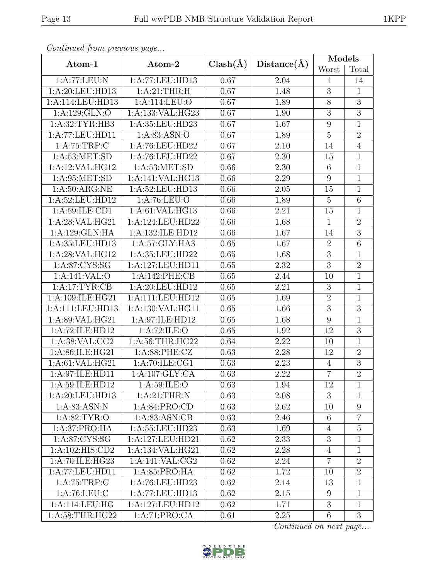|--|--|

| Continuea from previous page |                              |                   |             | Models          |                |
|------------------------------|------------------------------|-------------------|-------------|-----------------|----------------|
| Atom-1                       | Atom-2                       | $Clash(\AA)$      | Distance(A) | Worst           | Total          |
| 1:A:77:LEU:N                 | 1:A:77:LEU:HD13              | 0.67              | 2.04        | $\mathbf{1}$    | 14             |
| 1:A:20:LEU:HD13              | 1:A:21:THR:H                 | 0.67              | 1.48        | $\overline{3}$  | $\overline{1}$ |
| 1:A:114:LEU:HD13             | 1:A:114:LEU:O                | 0.67              | 1.89        | 8               | $\overline{3}$ |
| 1: A: 129: GLN: O            | 1:A:133:VAL:HG23             | 0.67              | 1.90        | $\overline{3}$  | $\overline{3}$ |
| 1:A:32:TYR:HB3               | 1:A:35:LEU:HD23              | 0.67              | 1.67        | 9               | $\mathbf 1$    |
| 1:A:77:LEU:HD11              | 1: A:83: ASN:O               | $\overline{0.67}$ | 1.89        | $\overline{5}$  | $\overline{2}$ |
| 1:A:75:TRP:C                 | 1:A:76:LEU:HD22              | 0.67              | 2.10        | 14              | $\overline{4}$ |
| 1: A:53:MET:SD               | 1:A:76:LEU:HD22              | 0.67              | 2.30        | 15              | $\mathbf{1}$   |
| 1:A:12:VAL:HG12              | 1: A:53: MET:SD              | 0.66              | 2.30        | 6               | 1              |
| 1: A:95:MET:SD               | 1:A:141:VAL:HG13             | 0.66              | 2.29        | 9               | $\mathbf{1}$   |
| 1: A:50: ARG:NE              | 1:A:52:LEU:HD13              | 0.66              | 2.05        | 15              | $\mathbf{1}$   |
| 1:A:52:LEU:HD12              | 1:A:76:LEU:O                 | 0.66              | 1.89        | $\overline{5}$  | 6              |
| 1:A:59:ILE:CD1               | 1: A:61: VAL: HG13           | 0.66              | 2.21        | 15              | $\mathbf 1$    |
| 1:A:28:VAL:HG21              | 1:A:124:LEU:HD22             | 0.66              | 1.68        | $\mathbf{1}$    | $\overline{2}$ |
| 1:A:129:GLN:HA               | 1:A:132:ILE:HD12             | 0.66              | 1.67        | 14              | $\overline{3}$ |
| 1:A:35:LEU:HD13              | 1: A:57: GLY: HA3            | 0.65              | 1.67        | $\overline{2}$  | $\overline{6}$ |
| 1:A:28:VAL:HG12              | 1:A:35:LEU:HD22              | 0.65              | 1.68        | $\overline{3}$  | $\mathbf{1}$   |
| 1: A:87: CYS:SG              | 1:A:127:LEU:HD11             | 0.65              | 2.32        | 3               | $\overline{2}$ |
| 1:A:141:VAL:O                | 1:A:142:PHE:CB               | $\overline{0.65}$ | 2.44        | 10              | $\overline{1}$ |
| 1:A:17:TYR:CB                | 1:A:20:LEU:HD12              | 0.65              | 2.21        | 3               | $\mathbf{1}$   |
| 1:A:109:ILE:HG21             | 1:A:111:EU:HD12              | 0.65              | 1.69        | $\overline{2}$  | $\overline{1}$ |
| $1:$ A:111:LEU:HD13          | 1:A:130:VAL:HG11             | 0.65              | 1.66        | 3               | $\overline{3}$ |
| 1:A:89:VAL:HG21              | $1:\overline{A:97:ILE:HD12}$ | 0.65              | 1.68        | 9               | $\overline{1}$ |
| 1:A:72:ILE:HD12              | 1:A:72:ILE:O                 | 0.65              | 1.92        | 12              | $\overline{3}$ |
| 1: A:38: VAL: CG2            | 1: A:56:THR:HG22             | 0.64              | 2.22        | 10              | $\mathbf 1$    |
| 1:A:86:ILE:HG21              | 1:A:88:PHE:CZ                | 0.63              | 2.28        | 12              | $\overline{2}$ |
| 1:A:61:VAL:HG21              | 1:A:70:ILE:CG1               | 0.63              | 2.23        | $\overline{4}$  | $\overline{3}$ |
| 1:A:97:ILE:HD11              | 1:A:107:GLY:CA               | 0.63              | 2.22        | $\overline{7}$  | $\overline{2}$ |
| 1:A:59:ILE:HD12              | 1: A:59: ILE: O              | 0.63              | 1.94        | 12              | 1              |
| 1:A:20:LEU:HD13              | 1:A:21:THR:N                 | 0.63              | 2.08        | 3               | 1              |
| 1: A:83: ASN: N              | 1:A:84:PRO:CD                | 0.63              | 2.62        | 10              | 9              |
| 1: A:82:TYR:O                | 1: A:83: ASN:CB              | 0.63              | 2.46        | 6               | $\overline{7}$ |
| 1:A:37:PRO:HA                | 1:A:55:LEU:HD23              | 0.63              | 1.69        | $\overline{4}$  | $\overline{5}$ |
| 1: A:87: CYS:SG              | 1:A:127:LEU:HD21             | 0.62              | 2.33        | 3               | $\mathbf{1}$   |
| 1:A:102:HIS:CD2              | 1:A:134:VAL:HG21             | 0.62              | 2.28        | $\overline{4}$  | 1              |
| 1:A:70:ILE:HG23              | 1: A:141: VAL: CG2           | 0.62              | 2.24        | $\overline{7}$  | $\overline{2}$ |
| 1:A:77:LEU:HD11              | 1: A:85: PRO:HA              | 0.62              | 1.72        | 10              | $\overline{2}$ |
| 1:A:75:TRP:C                 | 1:A:76:LEU:HD23              | 0.62              | 2.14        | 13              | $\mathbf{1}$   |
| 1: A:76: LEU: C              | 1:A:77:LEU:HD13              | 0.62              | 2.15        | 9               | $\mathbf{1}$   |
| 1:A:114:LEU:HG               | 1:A:127:LEU:HD12             | 0.62              | 1.71        | $\overline{3}$  | $\overline{1}$ |
| 1: A:58:THR:HG22             | 1:A:71:PRO:CA                | 0.61              | 2.25        | $6\phantom{.}6$ | 3              |

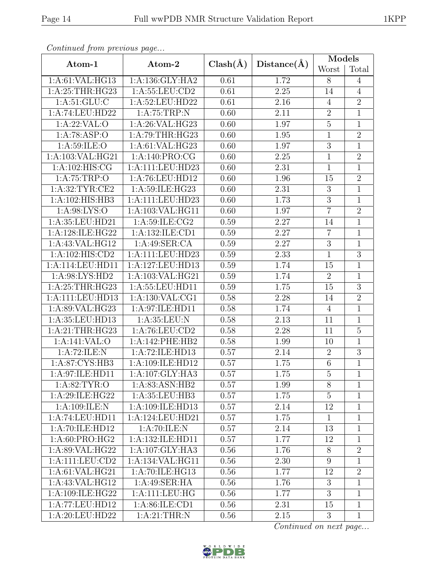| $P$ , $P$ , $P$ , $P$ , $P$ , $P$ , $P$ , $P$ , $P$ , $P$ , $P$ , $P$ , $P$ , $P$ , $P$ , $P$ , $P$ , $P$ , $P$ , $P$ , $P$ , $P$ , $P$ , $P$ , $P$ , $P$ , $P$ , $P$ , $P$ , $P$ , $P$ , $P$ , $P$ , $P$ , $P$ , $P$ , $P$ , |                   |              | Distance(A)       | Models         |                                 |  |
|-------------------------------------------------------------------------------------------------------------------------------------------------------------------------------------------------------------------------------|-------------------|--------------|-------------------|----------------|---------------------------------|--|
| Atom-1                                                                                                                                                                                                                        | Atom-2            | $Clash(\AA)$ |                   | Worst          | $\operatorname{\mathsf{Total}}$ |  |
| 1:A:61:VAL:HG13                                                                                                                                                                                                               | 1:A:136:GLY:HA2   | 0.61         | 1.72              | 8              | $\overline{4}$                  |  |
| 1: A:25:THR:HG23                                                                                                                                                                                                              | 1:A:55:LEU:CD2    | 0.61         | 2.25              | 14             | $\overline{4}$                  |  |
| 1: A:51: GLU:C                                                                                                                                                                                                                | 1:A:52:LEU:HD22   | 0.61         | 2.16              | $\overline{4}$ | $\boldsymbol{2}$                |  |
| 1:A:74:LEU:HD22                                                                                                                                                                                                               | 1:A:75:TRP:N      | 0.60         | 2.11              | $\overline{2}$ | $\overline{1}$                  |  |
| 1:A:22:VAL:O                                                                                                                                                                                                                  | 1:A:26:VAL:HG23   | 0.60         | 1.97              | $\overline{5}$ | $\mathbf{1}$                    |  |
| 1:A:78:ASP:O                                                                                                                                                                                                                  | 1: A:79:THR:HG23  | 0.60         | 1.95              | $\mathbf{1}$   | $\overline{2}$                  |  |
| 1: A:59: ILE: O                                                                                                                                                                                                               | 1:A:61:VAL:HG23   | 0.60         | 1.97              | 3              | $\mathbf{1}$                    |  |
| 1:A:103:VAL:HG21                                                                                                                                                                                                              | 1: A:140: PRO:CG  | 0.60         | 2.25              | $\mathbf{1}$   | $\sqrt{2}$                      |  |
| 1:A:102:HIS:CG                                                                                                                                                                                                                | 1:A:111:LEU:HD23  | 0.60         | 2.31              | $\mathbf{1}$   | $\mathbf{1}$                    |  |
| 1: A:75:TRP:O                                                                                                                                                                                                                 | 1:A:76:LEU:HD12   | 0.60         | 1.96              | 15             | $\boldsymbol{2}$                |  |
| 1: A:32:TYR:CE2                                                                                                                                                                                                               | 1:A:59:ILE:HG23   | 0.60         | 2.31              | 3              | $\mathbf{1}$                    |  |
| 1:A:102:HIS:HB3                                                                                                                                                                                                               | 1:A:111:LEU:HD23  | 0.60         | 1.73              | 3              | $\mathbf{1}$                    |  |
| 1: A:98: LYS:O                                                                                                                                                                                                                | 1:A:103:VAL:HG11  | 0.60         | 1.97              | $\overline{7}$ | $\sqrt{2}$                      |  |
| 1:A:35:LEU:HD21                                                                                                                                                                                                               | 1: A:59: ILE: CG2 | 0.59         | 2.27              | 14             | $\mathbf{1}$                    |  |
| 1:A:128:ILE:HG22                                                                                                                                                                                                              | 1:A:132:ILE:CD1   | 0.59         | 2.27              | $\overline{7}$ | $\mathbf{1}$                    |  |
| 1:A:43:VAL:HG12                                                                                                                                                                                                               | 1:A:49:SER:CA     | 0.59         | 2.27              | $\overline{3}$ | $\overline{1}$                  |  |
| 1:A:102:HIS:CD2                                                                                                                                                                                                               | 1:A:111:LEU:HD23  | 0.59         | 2.33              | $\mathbf{1}$   | $\sqrt{3}$                      |  |
| 1:A:114:LEU:HD11                                                                                                                                                                                                              | 1:A:127:LEU:HD13  | 0.59         | 1.74              | 15             | $\overline{1}$                  |  |
| 1: A:98: LYS: HD2                                                                                                                                                                                                             | 1:A:103:VAL:HG21  | 0.59         | $\overline{1.74}$ | $\overline{2}$ | $\mathbf{1}$                    |  |
| 1: A:25:THR:HG23                                                                                                                                                                                                              | 1:A:55:LEU:HD11   | 0.59         | 1.75              | 15             | $\boldsymbol{3}$                |  |
| 1:A:111:LEU:HD13                                                                                                                                                                                                              | 1:A:130:VAL:CG1   | 0.58         | 2.28              | 14             | $\overline{2}$                  |  |
| 1:A:89:VAL:HG23                                                                                                                                                                                                               | 1:A:97:ILE:HD11   | 0.58         | 1.74              | $\overline{4}$ | $\mathbf{1}$                    |  |
| 1:A:35:LEU:HD13                                                                                                                                                                                                               | 1:A:35:LEU:N      | 0.58         | 2.13              | 11             | $\mathbf{1}$                    |  |
| 1:A:21:THR:HG23                                                                                                                                                                                                               | 1:A:76:LEU:CD2    | 0.58         | 2.28              | 11             | $\overline{5}$                  |  |
| 1:A:141:VAL:O                                                                                                                                                                                                                 | 1:A:142:PHE:HB2   | 0.58         | 1.99              | 10             | $\mathbf{1}$                    |  |
| 1:A:72:ILE:N                                                                                                                                                                                                                  | 1:A:72:ILE:HD13   | 0.57         | 2.14              | $\overline{2}$ | $\overline{3}$                  |  |
| 1:A:87:CYS:HB3                                                                                                                                                                                                                | 1:A:109:ILE:HD12  | 0.57         | 1.75              | $6\,$          | $\mathbf{1}$                    |  |
| 1:A:97:ILE:HD11                                                                                                                                                                                                               | 1:A:107:GLY:HA3   | 0.57         | 1.75              | $\overline{5}$ | $\mathbf{1}$                    |  |
| 1: A:82:TYR:O                                                                                                                                                                                                                 | 1:A:83:ASN:HB2    | 0.57         | 1.99              | 8              | $\mathbf{1}$                    |  |
| 1:A:29:ILE:HG22                                                                                                                                                                                                               | 1:A:35:LEU:HB3    | 0.57         | 1.75              | $\overline{5}$ | $\mathbf{1}$                    |  |
| 1:A:109:ILE:N                                                                                                                                                                                                                 | 1:A:109:ILE:HD13  | 0.57         | 2.14              | 12             | $\mathbf 1$                     |  |
| 1:A:74:LEU:HD11                                                                                                                                                                                                               | 1:A:124:LEU:HD21  | 0.57         | 1.75              | $\mathbf{1}$   | $\mathbf{1}$                    |  |
| 1:A:70:ILE:HD12                                                                                                                                                                                                               | 1:A:70:ILE:N      | 0.57         | 2.14              | 13             | $\mathbf{1}$                    |  |
| 1: A:60: PRO:HG2                                                                                                                                                                                                              | 1:A:132:ILE:HD11  | 0.57         | 1.77              | 12             | $\mathbf{1}$                    |  |
| 1:A:89:VAL:HG22                                                                                                                                                                                                               | 1:A:107:GLY:HA3   | 0.56         | 1.76              | $8\,$          | $\overline{2}$                  |  |
| 1:A:111:LEU:CD2                                                                                                                                                                                                               | 1:A:134:VAL:HG11  | 0.56         | 2.30              | 9              | $\mathbf{1}$                    |  |
| 1:A:61:VAL:HG21                                                                                                                                                                                                               | 1:A:70:ILE:HG13   | 0.56         | 1.77              | 12             | $\overline{2}$                  |  |
| 1: A:43: VAL: HG12                                                                                                                                                                                                            | 1:A:49:SER:HA     | 0.56         | 1.76              | 3              | $\mathbf{1}$                    |  |
| 1:A:109:ILE:HG22                                                                                                                                                                                                              | 1:A:111:LEU:HG    | 0.56         | 1.77              | $\overline{3}$ | $\mathbf{1}$                    |  |
| 1:A:77:LEU:HD12                                                                                                                                                                                                               | 1:A:86:ILE:CD1    | 0.56         | 2.31              | 15             | $\mathbf{1}$                    |  |
| 1:A:20:LEU:HD22                                                                                                                                                                                                               | 1: A:21:THR:N     | 0.56         | 2.15              | 3              | $\mathbf{1}$                    |  |

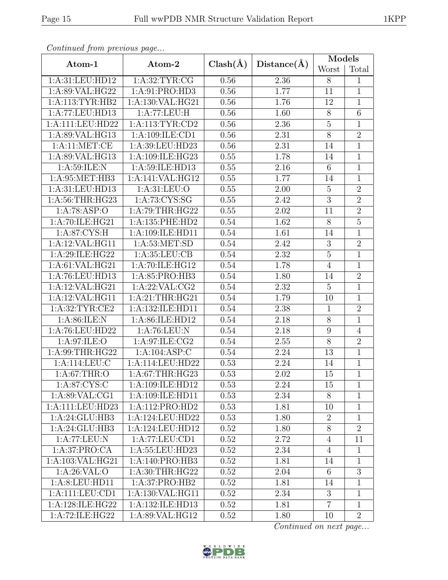|--|

| Continued from previous page |                    |              |                   | Models          |                |
|------------------------------|--------------------|--------------|-------------------|-----------------|----------------|
| Atom-1                       | Atom-2             | $Clash(\AA)$ | Distance(A)       | Worst           | Total          |
| 1:A:31:LEU:HD12              | 1: A:32:TYR:CG     | 0.56         | 2.36              | 8               | $\mathbf{1}$   |
| 1:A:89:VAL:HG22              | 1:A:91:PRO:HD3     | 0.56         | 1.77              | 11              | $\mathbf{1}$   |
| 1:A:113:TYR:HB2              | 1:A:130:VAL:HG21   | 0.56         | 1.76              | 12              | $\mathbf{1}$   |
| 1:A:77:LEU:HD13              | 1:A:77:LEU:H       | 0.56         | 1.60              | $\overline{8}$  | $\overline{6}$ |
| 1:A:111:LEU:HD22             | 1: A:113: TYR: CD2 | 0.56         | 2.36              | $\overline{5}$  | 1              |
| 1: A:89: VAL: HG13           | 1: A:109: ILE: CD1 | 0.56         | $\overline{2.31}$ | $\overline{8}$  | $\overline{2}$ |
| 1:A:11:MET:CE                | 1:A:39:LEU:HD23    | 0.56         | 2.31              | 14              | 1              |
| 1:A:89:VAL:HG13              | 1:A:109:ILE:HG23   | 0.55         | 1.78              | 14              | $\mathbf{1}$   |
| 1: A:59: ILE:N               | 1:A:59:ILE:HD13    | 0.55         | 2.16              | $6\phantom{.}6$ | $\mathbf 1$    |
| 1:A:95:MET:HB3               | 1:A:141:VAL:HG12   | 0.55         | 1.77              | 14              | $\mathbf{1}$   |
| 1:A:31:LEU:HD13              | 1: A:31: LEU:O     | 0.55         | 2.00              | $\overline{5}$  | $\overline{2}$ |
| 1: A:56:THR:HG23             | 1:A:73:CYS:SG      | 0.55         | 2.42              | $\overline{3}$  | $\overline{2}$ |
| 1:A:78:ASP:O                 | 1:A:79:THR:HG22    | 0.55         | $2.02\,$          | 11              | $\overline{2}$ |
| 1:A:70:ILE:HG21              | 1:A:135:PHE:HD2    | 0.54         | 1.62              | $8\,$           | $\overline{5}$ |
| 1: A:87: CYS:H               | 1:A:109:ILE:HD11   | 0.54         | 1.61              | 14              | $\mathbf 1$    |
| 1:A:12:VAL:HG11              | 1: A:53: MET:SD    | 0.54         | 2.42              | 3               | $\overline{2}$ |
| 1:A:29:ILE:HG22              | 1: A:35: LEU:CB    | 0.54         | $2.32\,$          | $\mathbf 5$     | $\mathbf{1}$   |
| 1:A:61:VAL:HG21              | 1:A:70:ILE:HG12    | 0.54         | 1.78              | $\overline{4}$  | 1              |
| 1:A:76:LEU:HD13              | 1:A:85:PRO:HB3     | 0.54         | 1.80              | 14              | $\overline{2}$ |
| 1:A:12:VAL:HG21              | 1:A:22:VAL:CG2     | 0.54         | 2.32              | $\overline{5}$  | 1              |
| 1:A:12:VAL:HG11              | 1:A:21:THR:HG21    | 0.54         | 1.79              | 10              | $\mathbf{1}$   |
| 1:A:32:TYR:CE2               | 1:A:132:ILE:HD11   | 0.54         | 2.38              | $\mathbf{1}$    | $\overline{2}$ |
| 1: A:86: ILE:N               | 1:A:86:ILE:HD12    | 0.54         | 2.18              | $\overline{8}$  | $\overline{1}$ |
| 1:A:76:LEU:HD22              | 1:A:76:LEU:N       | 0.54         | 2.18              | 9               | $\overline{4}$ |
| 1: A:97: ILE: O              | 1:A:97:ILE:CG2     | 0.54         | 2.55              | 8               | $\overline{2}$ |
| 1:A:99:THR:HG22              | 1:A:104:ASP:C      | $0.54\,$     | 2.24              | 13              | $\mathbf{1}$   |
| 1:A:114:LEU:C                | 1:A:114:LEU:HD22   | 0.53         | 2.24              | 14              | $\mathbf 1$    |
| 1:A:67:THR:O                 | 1:A:67:THR:HG23    | 0.53         | 2.02              | 15              | $\mathbf 1$    |
| $1: A:87:CYS:\overline{C}$   | 1:A:109:ILE:HD12   | 0.53         | 2.24              | 15              | 1              |
| 1: A:89: VAL:CG1             | 1:A:109:ILE:HD11   | 0.53         | 2.34              | 8               | 1              |
| 1:A:111:LEU:HD23             | 1:A:112:PRO:HD2    | 0.53         | 1.81              | 10              | $\mathbf{1}$   |
| 1:A:24:GLU:HB3               | 1:A:124:LEU:HD22   | 0.53         | 1.80              | $\overline{2}$  | $\mathbf 1$    |
| 1:A:24:GLU:HB3               | 1:A:124:LEU:HD12   | 0.52         | 1.80              | 8               | $\overline{2}$ |
| 1:A:77:LEU:N                 | 1:A:77:LEU:CD1     | 0.52         | 2.72              | $\overline{4}$  | 11             |
| 1:A:37:PRO:CA                | 1:A:55:LEU:HD23    | 0.52         | 2.34              | $\overline{4}$  | $\mathbf{1}$   |
| 1:A:103:VAL:HG21             | 1:A:140:PRO:HB3    | 0.52         | 1.81              | 14              | $\mathbf{1}$   |
| 1: A:26:VAL:O                | 1: A:30:THR:HG22   | 0.52         | 2.04              | $6\phantom{.}6$ | 3              |
| 1:A:8:LEU:HD11               | 1:A:37:PRO:HB2     | $0.52\,$     | 1.81              | 14              | 1              |
| 1:A:111:LEU:CD1              | 1:A:130:VAL:HG11   | 0.52         | 2.34              | 3               | 1              |
| 1:A:128:ILE:HG22             | 1:A:132:ILE:HD13   | 0.52         | 1.81              | $\overline{7}$  | $\mathbf{1}$   |
| 1:A:72:ILE:HG22              | 1:A:89:VAL:HG12    | 0.52         | 1.80              | 10              | $\overline{2}$ |

 $Confinued$  from previce

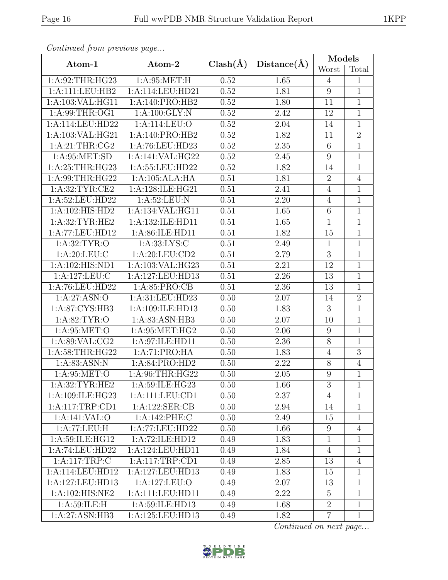|--|

| Continuea from previous page |                  |              |                   | Models          |                |
|------------------------------|------------------|--------------|-------------------|-----------------|----------------|
| Atom-1                       | Atom-2           | $Clash(\AA)$ | Distance(A)       | Worst           | Total          |
| 1:A:92:THR:HG23              | 1: A:95:MET:H    | 0.52         | 1.65              | $\overline{4}$  | $\mathbf{1}$   |
| 1:A:111:LEU:HB2              | 1:A:114:LEU:HD21 | 0.52         | 1.81              | $\overline{9}$  | $\overline{1}$ |
| 1:A:103:VAL:HG11             | 1:A:140:PRO:HB2  | 0.52         | 1.80              | 11              | $\mathbf{1}$   |
| 1: A:99:THR:OG1              | 1: A:100: GLY:N  | 0.52         | 2.42              | 12              | $\mathbf 1$    |
| 1:A:114:LEU:HD22             | 1:A:114:LEU:O    | 0.52         | 2.04              | 14              | $\mathbf{1}$   |
| 1:A:103:VAL:HG21             | 1:A:140:PRO:HB2  | 0.52         | 1.82              | 11              | $\overline{2}$ |
| 1: A:21:THR:CG2              | 1:A:76:LEU:HD23  | 0.52         | 2.35              | $6\phantom{.}6$ | 1              |
| 1: A:95: MET:SD              | 1:A:141:VAL:HG22 | 0.52         | 2.45              | $9\,$           | $\mathbf{1}$   |
| 1: A:25:THR:HG23             | 1:A:55:LEU:HD22  | 0.52         | 1.82              | 14              | 1              |
| 1:A:99:THR:HG22              | 1:A:105:ALA:HA   | 0.51         | 1.81              | $\overline{2}$  | $\overline{4}$ |
| 1:A:32:TYR:CE2               | 1:A:128:ILE:HG21 | 0.51         | 2.41              | $\overline{4}$  | $\mathbf 1$    |
| 1:A:52:LEU:HD22              | 1: A:52:LEU: N   | 0.51         | 2.20              | $\overline{4}$  | $\mathbf{1}$   |
| 1:A:102:HIS:HD2              | 1:A:134:VAL:HG11 | 0.51         | 1.65              | $\,6$           | $\mathbf 1$    |
| 1: A:32:TYR:HE2              | 1:A:132:ILE:HD11 | 0.51         | 1.65              | $\mathbf{1}$    | $\mathbf{1}$   |
| 1:A:77:LEU:HD12              | 1:A:86:ILE:HD11  | 0.51         | 1.82              | 15              | $\mathbf{1}$   |
| 1: A:32:TYR:O                | 1: A: 33: LYS: C | 0.51         | 2.49              | $\mathbf{1}$    | 1              |
| 1: A:20:LEU:C                | 1: A:20:LEU:CD2  | 0.51         | 2.79              | 3               | $\mathbf 1$    |
| 1:A:102:HIS:ND1              | 1:A:103:VAL:HG23 | 0.51         | 2.21              | 12              | $\mathbf{1}$   |
| 1:A:127:LEU:C                | 1:A:127:LEU:HD13 | 0.51         | $\overline{2.26}$ | 13              | $\overline{1}$ |
| 1:A:76:LEU:HD22              | 1: A:85: PRO:CB  | 0.51         | 2.36              | 13              | $\mathbf 1$    |
| 1:A:27:ASN:O                 | 1:A:31:LEU:HD23  | 0.50         | 2.07              | 14              | $\overline{2}$ |
| 1:A:87:CYS:HB3               | 1:A:109:ILE:HD13 | 0.50         | 1.83              | 3               | 1              |
| 1: A:82:TYR:O                | 1: A:83: ASN:HB3 | 0.50         | 2.07              | 10              | $\mathbf{1}$   |
| 1: A:95:MET:O                | 1: A:95:MET:HG2  | 0.50         | 2.06              | 9               | $\mathbf 1$    |
| 1: A:89: VAL: CG2            | 1:A:97:ILE:HD11  | 0.50         | 2.36              | 8               | $\mathbf{1}$   |
| 1:A:58:THR:HG22              | 1:A:71:PRO:HA    | 0.50         | 1.83              | $\overline{4}$  | $\overline{3}$ |
| 1:A:83:ASN:N                 | 1:A:84:PRO:HD2   | 0.50         | 2.22              | $8\,$           | $\overline{4}$ |
| 1:A:95:MET:O                 | 1:A:96:THR:HG22  | 0.50         | 2.05              | $\overline{9}$  | 1              |
| 1:A:32:TYR:HE2               | 1:A:59:ILE:HG23  | 0.50         | 1.66              | 3               | 1              |
| 1:A:109:ILE:HG23             | 1:A:111:LEU:CD1  | 0.50         | 2.37              | $\overline{4}$  | 1              |
| 1:A:117:TRP:CD1              | 1:A:122:SER:CB   | 0.50         | 2.94              | 14              | 1              |
| 1:A:141:VAL:O                | 1:A:142:PHE:C    | 0.50         | 2.49              | 15              | $\mathbf 1$    |
| 1:A:77:LEU:H                 | 1:A:77:LEU:HD22  | 0.50         | 1.66              | 9               | $\overline{4}$ |
| 1: A:59: ILE: HG12           | 1:A:72:ILE:HD12  | 0.49         | 1.83              | $\mathbf{1}$    | $\mathbf{1}$   |
| 1:A:74:LEU:HD22              | 1:A:124:LEU:HD11 | 0.49         | 1.84              | $\overline{4}$  | 1              |
| 1:A:117:TRP:C                | 1:A:117:TRP:CD1  | 0.49         | 2.85              | 13              | $\overline{4}$ |
| 1:A:114:LEU:HD12             | 1:A:127:LEU:HD13 | 0.49         | 1.83              | 15              | $\mathbf{1}$   |
| 1:A:127:LEU:HD13             | 1:A:127:LEU:O    | 0.49         | 2.07              | 13              | $\mathbf 1$    |
| 1:A:102:HIS:NE2              | 1:A:111:LEU:HD11 | 0.49         | 2.22              | $\overline{5}$  | $\mathbf{1}$   |
| 1: A:59: ILE:H               | 1:A:59:ILE:HD13  | 0.49         | 1.68              | $\overline{2}$  | $\mathbf{1}$   |
| 1:A:27:ASN:HB3               | 1:A:125:LEU:HD13 | 0.49         | 1.82              | $\overline{7}$  | $\mathbf{1}$   |

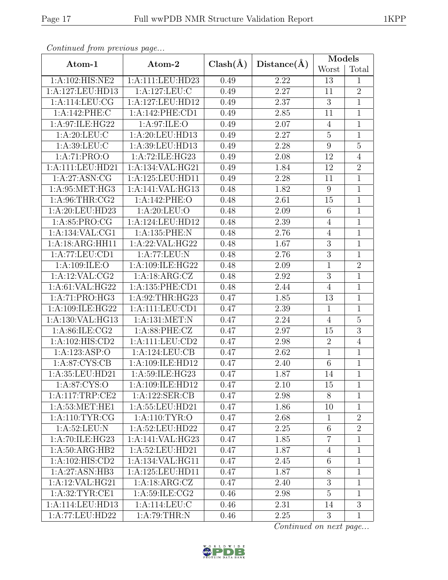|--|

| Continued from previous page |                                     |              |             | Models           |                |
|------------------------------|-------------------------------------|--------------|-------------|------------------|----------------|
| Atom-1                       | Atom-2                              | $Clash(\AA)$ | Distance(A) | Worst            | Total          |
| 1:A:102:HIS:NE2              | 1:A:111:LEU:HD23                    | 0.49         | 2.22        | 13               | $\mathbf{1}$   |
| 1:A:127:LEU:HD13             | 1:A:127:LEU:C                       | 0.49         | 2.27        | 11               | $\overline{2}$ |
| 1:A:114:LEU:CG               | 1:A:127:LEU:HD12                    | 0.49         | 2.37        | 3                | $\mathbf{1}$   |
| 1:A:142:PHE:C                | 1:A:142:PHE:CD1                     | 0.49         | 2.85        | 11               | 1              |
| 1:A:97:ILE:HG22              | 1:A:97:ILE:O                        | 0.49         | 2.07        | $\overline{4}$   | $\mathbf{1}$   |
| 1: A:20:LEU:C                | 1:A:20:LEU:HD13                     | 0.49         | 2.27        | $\overline{5}$   | $\mathbf{1}$   |
| 1: A: 39: LEU: C             | 1:A:39:LEU:HD13                     | 0.49         | 2.28        | 9                | $\overline{5}$ |
| 1:A:71:PRO:O                 | $1:A:72:\overline{\text{ILE:HG23}}$ | 0.49         | 2.08        | 12               | $\overline{4}$ |
| 1:A:111:LEU:HD21             | 1:A:134:VAL:HG21                    | 0.49         | 1.84        | 12               | $\overline{2}$ |
| 1: A:27: ASN:CG              | 1:A:125:LEU:HD11                    | 0.49         | 2.28        | 11               | $\mathbf{1}$   |
| 1: A:95:MET:HG3              | 1:A:141:VAL:HG13                    | 0.48         | 1.82        | 9                | $\overline{1}$ |
| 1: A:96:THR:CG2              | 1:A:142:PHE:O                       | 0.48         | 2.61        | 15               | $\mathbf{1}$   |
| 1:A:20:LEU:HD23              | 1: A:20: LEU:O                      | 0.48         | 2.09        | $6\phantom{.}6$  | 1              |
| 1: A:85: PRO:CG              | 1:A:124:LEU:HD12                    | 0.48         | 2.39        | $\overline{4}$   | $\mathbf{1}$   |
| 1: A: 134: VAL: CG1          | 1:A:135:PHE:N                       | 0.48         | 2.76        | $\overline{4}$   | $\mathbf{1}$   |
| 1:A:18:ARG:HH11              | 1:A:22:VAL:HG22                     | 0.48         | 1.67        | $\overline{3}$   | $\overline{1}$ |
| 1:A:77:LEU:CD1               | 1:A:77:LEU:N                        | 0.48         | 2.76        | $\sqrt{3}$       | 1              |
| 1:A:109:ILE:O                | 1:A:109:ILE:HG22                    | 0.48         | 2.09        | $\overline{1}$   | $\overline{2}$ |
| 1:A:12:VAL:CG2               | 1: A: 18: ARG: CZ                   | 0.48         | 2.92        | $\mathfrak{Z}$   | 1              |
| 1:A:61:VAL:HG22              | 1:A:135:PHE:CD1                     | 0.48         | 2.44        | $\overline{4}$   | $\mathbf{1}$   |
| 1:A:71:PRO:HG3               | 1:A:92:THR:HG23                     | 0.47         | 1.85        | 13               | 1              |
| 1:A:109:ILE:HG22             | 1:A:111:LEU:CD1                     | 0.47         | 2.39        | $\mathbf{1}$     | $\mathbf{1}$   |
| 1:A:130:VAL:HG13             | 1:A:131:MET:N                       | 0.47         | 2.24        | $\overline{4}$   | $\overline{5}$ |
| 1:A:86:ILE:CG2               | 1: A:88:PHE:CZ                      | 0.47         | 2.97        | 15               | $\overline{3}$ |
| 1: A: 102: HIS: CD2          | 1:A:111:LEU:CD2                     | 0.47         | 2.98        | $\overline{2}$   | $\overline{4}$ |
| 1:A:123:ASP:O                | 1:A:124:LEU:CB                      | 0.47         | 2.62        | $\mathbf{1}$     | 1              |
| 1: A:87: CYS:CB              | 1:A:109:ILE:HD12                    | 0.47         | 2.40        | 6                | $\mathbf 1$    |
| 1:A:35:LEU:HD21              | 1:A:59:ILE:HG23                     | 0.47         | 1.87        | 14               | $\,1$          |
| 1: A:87: CYS:O               | 1:A:109:ILE:HD12                    | 0.47         | 2.10        | 15               | $\mathbf{1}$   |
| 1:A:117:TRP:CE2              | 1:A:122:SER:CB                      | 0.47         | 2.98        | 8                | 1              |
| 1: A:53:MET:HE1              | 1:A:55:LEU:HD21                     | 0.47         | 1.86        | 10               | $\mathbf{1}$   |
| 1: A:110: TYR: CG            | 1: A: 110: TYR: O                   | 0.47         | 2.68        | $\mathbf 1$      | $\overline{2}$ |
| 1: A:52:LEU: N               | 1:A:52:LEU:HD22                     | 0.47         | 2.25        | $\,6\,$          | $\overline{2}$ |
| 1:A:70:ILE:HG23              | 1:A:141:VAL:HG23                    | 0.47         | 1.85        | $\overline{7}$   | $\mathbf 1$    |
| 1: A:50: ARG: HB2            | 1:A:52:LEU:HD21                     | 0.47         | 1.87        | $\overline{4}$   | $\mathbf{1}$   |
| 1:A:102:HIS:CD2              | 1:A:134:VAL:HG11                    | 0.47         | 2.45        | 6                | 1              |
| 1:A:27:ASN:HB3               | 1:A:125:LEU:HD11                    | 0.47         | 1.87        | $8\,$            | 1              |
| 1:A:12:VAL:HG21              | 1:A:18:ARG:CZ                       | 0.47         | 2.40        | $\boldsymbol{3}$ | 1              |
| 1: A:32:TYR:CE1              | 1: A:59: ILE: CG2                   | 0.46         | 2.98        | $\overline{5}$   | $\mathbf{1}$   |
| 1:A:114:LEU:HD13             | 1:A:114:LEU:C                       | 0.46         | 2.31        | 14               | $\overline{3}$ |
| 1:A:77:LEU:HD22              | 1: A:79:THR:N                       | 0.46         | 2.25        | 3                | $\mathbf{1}$   |

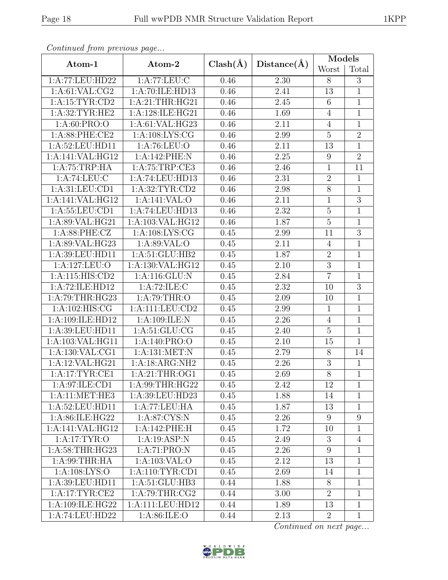| Continued from previous page |                                |              |             | Models           |                |  |
|------------------------------|--------------------------------|--------------|-------------|------------------|----------------|--|
| Atom-1                       | Atom-2                         | $Clash(\AA)$ | Distance(A) | Worst            | Total          |  |
| 1:A:77:LEU:HD22              | 1:A:77:LEU:C                   | 0.46         | 2.30        | 8                | 3              |  |
| 1: A:61: VAL: CG2            | 1:A:70:ILE:HD13                | 0.46         | 2.41        | 13               | $\overline{1}$ |  |
| 1:A:15:TYR:CD2               | 1:A:21:THR:HG21                | 0.46         | 2.45        | 6                | $\,1$          |  |
| 1: A:32:TYR:HE2              | 1:A:128:ILE:HG21               | 0.46         | 1.69        | $\overline{4}$   | 1              |  |
| 1: A:60: PRO:O               | 1:A:61:VAL:HG23                | 0.46         | 2.11        | $\overline{4}$   | $\mathbf{1}$   |  |
| 1:A:88:PHE:CE2               | 1: A: 108: LYS: CG             | 0.46         | 2.99        | $\overline{5}$   | $\overline{2}$ |  |
| 1:A:52:LEU:HD11              | 1: A:76: LEU:O                 | 0.46         | 2.11        | 13               | $\mathbf{1}$   |  |
| 1:A:141:VAL:HG12             | 1:A:142:PHE:N                  | 0.46         | 2.25        | 9                | $\overline{2}$ |  |
| 1:A:75:TRP:HA                | 1:A:75:TRP:CE3                 | 0.46         | 2.46        | $\mathbf{1}$     | 11             |  |
| 1:A:74:LEU:C                 | 1:A:74:LEU:HD13                | 0.46         | 2.31        | $\overline{2}$   | $\mathbf{1}$   |  |
| 1: A:31: LEU:CD1             | 1:A:32:TYR:CD2                 | 0.46         | 2.98        | $\overline{8}$   | $\overline{1}$ |  |
| 1:A:141:VAL:HG12             | 1:A:141:VAL:O                  | 0.46         | 2.11        | $\mathbf 1$      | $\overline{3}$ |  |
| 1: A: 55: LEU: CD1           | 1:A:74:LEU:HD13                | 0.46         | 2.32        | $\overline{5}$   | $\mathbf{1}$   |  |
| 1:A:89:VAL:HG21              | 1:A:103:VAL:HG12               | 0.46         | 1.87        | $\mathbf 5$      | $\mathbf 1$    |  |
| 1: A:88: PHE: CZ             | $1: A:108: LYS: \overline{CG}$ | 0.45         | 2.99        | 11               | $\overline{3}$ |  |
| 1:A:89:VAL:HG23              | 1:A:89:VAL:O                   | 0.45         | 2.11        | $\overline{4}$   | $\overline{1}$ |  |
| 1:A:39:LEU:HD11              | 1:A:51:GLU:HB2                 | 0.45         | 1.87        | $\overline{2}$   | $\mathbf{1}$   |  |
| 1:A:127:LEU:O                | 1:A:130:VAL:HG12               | 0.45         | 2.10        | $\overline{3}$   | $\mathbf 1$    |  |
| 1:A:115:HIS:CD2              | 1:A:116:GLU:N                  | 0.45         | 2.84        | $\overline{7}$   | $\overline{1}$ |  |
| 1:A:72:ILE:HD12              | 1:A:72:ILE:C                   | 0.45         | 2.32        | 10               | $\overline{3}$ |  |
| 1:A:79:THR:HG23              | 1: A:79:THR:O                  | 0.45         | 2.09        | 10               | $\mathbf 1$    |  |
| 1: A: 102: HIS: CG           | 1:A:111:LEU:CD2                | 0.45         | 2.99        | $\mathbf{1}$     | $\mathbf 1$    |  |
| 1:A:109:ILE:HD12             | 1:A:109:ILE:N                  | 0.45         | 2.26        | $\overline{4}$   | $\mathbf{1}$   |  |
| 1:A:39:LEU:HD11              | 1: A:51: GLU:CG                | 0.45         | 2.40        | $\overline{5}$   | $1\,$          |  |
| 1:A:103:VAL:HG11             | 1:A:140:PRO:O                  | 0.45         | 2.10        | 15               | $\mathbf{1}$   |  |
| 1:A:130:VAL:CG1              | 1:A:131:MET:N                  | 0.45         | 2.79        | $8\,$            | 14             |  |
| 1:A:12:VAL:HG21              | 1:A:18:ARG:NH2                 | 0.45         | 2.26        | $\boldsymbol{3}$ | $\mathbf{1}$   |  |
| 1:A:17:TRYR:CE1              | 1:A:21:THR:OG1                 | 0.45         | 2.69        | $\overline{8}$   | $\overline{1}$ |  |
| 1:A:97:ILE:CD1               | 1: A:99:THR:HG22               | 0.45         | 2.42        | 12               | $\mathbf{1}$   |  |
| 1:A:11:MET:HE3               | 1:A:39:LEU:HD23                | 0.45         | 1.88        | 14               | $\mathbf{1}$   |  |
| 1:A:52:LEU:HD11              | 1:A:77:LEU:HA                  | 0.45         | 1.87        | 13               | $\mathbf{1}$   |  |
| 1:A:86:ILE:HG22              | 1:A:87:CYS:N                   | 0.45         | 2.26        | $9\phantom{.0}$  | 9              |  |
| 1:A:141:VAL:HG12             | 1:A:142:PHE:H                  | 0.45         | 1.72        | 10               | 1              |  |
| 1: A:17: TYR:O               | 1:A:19:ASP:N                   | 0.45         | 2.49        | 3                | $\overline{4}$ |  |
| 1: A:58:THR:HG23             | 1:A:71:PRO:N                   | 0.45         | 2.26        | $\boldsymbol{9}$ | 1              |  |
| 1: A:99:THR:HA               | 1:A:103:VAL:O                  | 0.45         | 2.12        | 13               | 1              |  |
| 1: A:108: LYS:O              | 1:A:110:TYR:CD1                | 0.45         | 2.69        | 14               | 1              |  |
| 1:A:39:LEU:HD11              | 1:A:51:GLU:HB3                 | 0.44         | 1.88        | $8\,$            | $\mathbf{1}$   |  |
| 1:A:17:TYR:CE2               | 1: A:79:THR:CG2                | 0.44         | 3.00        | $\overline{2}$   | $\mathbf{1}$   |  |
| 1:A:109:ILE:HG22             | 1:A:111:LEU:HD12               | 0.44         | 1.89        | 13               | $\mathbf{1}$   |  |
| 1:A:74:LEU:HD22              | 1:A:86:ILE:O                   | 0.44         | 2.13        | $\overline{2}$   | $\mathbf{1}$   |  |

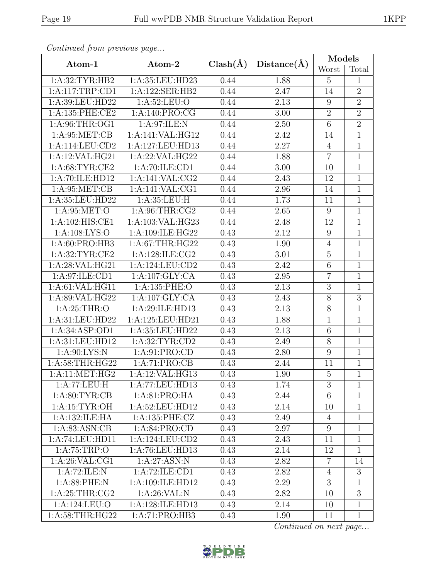| Continued from previous page |                    |              |             | Models          |                  |
|------------------------------|--------------------|--------------|-------------|-----------------|------------------|
| Atom-1                       | Atom-2             | $Clash(\AA)$ | Distance(A) | Worst           | Total            |
| 1: A:32: TYR: HB2            | 1:A:35:LEU:HD23    | 0.44         | 1.88        | $\overline{5}$  | 1                |
| 1:A:117:TRP:CD1              | 1:A:122:SER:HB2    | 0.44         | 2.47        | 14              | $\overline{2}$   |
| $1:$ A:39:LEU:HD22           | 1: A:52: LEU:O     | 0.44         | 2.13        | 9               | $\overline{2}$   |
| 1:A:135:PHE:CE2              | 1:A:140:PRO:CG     | 0.44         | 3.00        | $\overline{2}$  | $\overline{2}$   |
| 1: A:96:THR:OG1              | 1:A:97:ILE:N       | 0.44         | 2.50        | $\,6\,$         | $\overline{2}$   |
| 1: A:95:MET:CB               | 1:A:141:VAL:HG12   | 0.44         | 2.42        | 14              | $\mathbf{1}$     |
| 1:A:114:LEU:CD2              | 1:A:127:LEU:HD13   | 0.44         | 2.27        | $\overline{4}$  | $\mathbf{1}$     |
| 1:A:12:VAL:HG21              | 1:A:22:VAL:HG22    | 0.44         | 1.88        | $\overline{7}$  | $\mathbf{1}$     |
| 1: A:68:TYR:CE2              | 1:A:70:ILE:CD1     | 0.44         | 3.00        | 10              | 1                |
| 1:A:70:ILE:HD12              | 1:A:141:VAL:CG2    | 0.44         | 2.43        | 12              | 1                |
| 1: A:95:MET:CB               | 1:A:141:VAL:CG1    | 0.44         | 2.96        | 14              | $\mathbf{1}$     |
| 1:A:35:LEU:HD22              | 1:A:35:LEU:H       | 0.44         | 1.73        | 11              | $\mathbf{1}$     |
| 1: A:95:MET:O                | 1: A:96:THR:CG2    | 0.44         | 2.65        | 9               | $\overline{1}$   |
| 1:A:102:HIS:CE1              | 1:A:103:VAL:HG23   | 0.44         | 2.48        | 12              | $\mathbf 1$      |
| 1: A:108: LYS:O              | 1:A:109:ILE:HG22   | 0.43         | 2.12        | 9               | $\mathbf 1$      |
| 1: A:60: PRO:HB3             | 1: A:67:THR:HG22   | 0.43         | 1.90        | $\overline{4}$  | 1                |
| 1: A:32:TYR:CE2              | 1:A:128:ILE:CG2    | 0.43         | 3.01        | $\mathbf 5$     | $\mathbf{1}$     |
| $1:$ A:28:VAL:HG21           | 1:A:124:LEU:CD2    | 0.43         | 2.42        | $\overline{6}$  | $\mathbf 1$      |
| 1:A:97:ILE:CD1               | 1:A:107:GLY:CA     | 0.43         | $2.95\,$    | $\overline{7}$  | $\mathbf 1$      |
| 1: A:61: VAL: HG11           | 1:A:135:PHE:O      | 0.43         | 2.13        | $\sqrt{3}$      | 1                |
| 1:A:89:VAL:HG22              | 1:A:107:GLY:CA     | 0.43         | 2.43        | $\overline{8}$  | $\overline{3}$   |
| 1: A:25:THR:O                | 1:A:29:ILE:HD13    | 0.43         | 2.13        | $8\,$           | 1                |
| 1:A:31:LEU:HD22              | 1:A:125:LEU:HD21   | 0.43         | 1.88        | $\overline{1}$  | $\mathbf{1}$     |
| 1:A:34:ASP:OD1               | 1:A:35:LEU:HD22    | 0.43         | 2.13        | $\,6$           | $\mathbf 1$      |
| 1:A:31:LEU:HD12              | 1: A:32: TYR: CD2  | 0.43         | 2.49        | $8\,$           | 1                |
| 1: A:90: LYS:N               | 1:A:91:PRO:CD      | 0.43         | 2.80        | $\overline{9}$  | $\mathbf{1}$     |
| 1:A:58:THR:HG22              | 1:A:71:PRO:CB      | 0.43         | 2.44        | 11              | $\mathbf{1}$     |
| 1: A:11: MET:HG2             | 1:A:12:VAL:HG13    | 0.43         | 1.90        | $\overline{5}$  | $\mathbf{1}$     |
| 1:A:77:LEU:H                 | 1:A:77:LEU:HD13    | 0.43         | 1.74        | 3               | 1                |
| 1: A:80: TYR:CB              | 1:A:81:PRO:HA      | 0.43         | 2.44        | $6\phantom{.}6$ | 1                |
| 1:A:15:TYR:OH                | 1:A:52:LEU:HD12    | 0.43         | 2.14        | 10              | 1                |
| 1:A:132:ILE:HA               | 1:A:135:PHE:CZ     | 0.43         | 2.49        | $\overline{4}$  | $\mathbf{1}$     |
| 1: A:83: ASN:CB              | 1: A:84: PRO:CD    | 0.43         | 2.97        | 9               | $\mathbf{1}$     |
| 1:A:74:LEU:HD11              | 1: A:124: LEU: CD2 | 0.43         | 2.43        | 11              | $\mathbf 1$      |
| 1: A:75:TRP:O                | 1:A:76:LEU:HD13    | 0.43         | 2.14        | 12              | 1                |
| 1: A:26: VAL:CG1             | 1:A:27:ASN:N       | 0.43         | 2.82        | $\overline{7}$  | 14               |
| 1:A:72:ILE:N                 | 1:A:72:ILE:CD1     | 0.43         | 2.82        | 4               | 3                |
| 1:A:88:PHE:N                 | 1:A:109:ILE:HD12   | 0.43         | 2.29        | $\overline{3}$  | $\mathbf{1}$     |
| 1: A:25:THR:CG2              | 1: A:26: VAL:N     | 0.43         | 2.82        | 10              | $\boldsymbol{3}$ |
| 1:A:124:LEU:O                | 1:A:128:ILE:HD13   | 0.43         | 2.14        | 10              | 1                |
| 1:A:58:THR:HG22              | 1:A:71:PRO:HB3     | 0.43         | 1.90        | 11              | $\mathbf{1}$     |

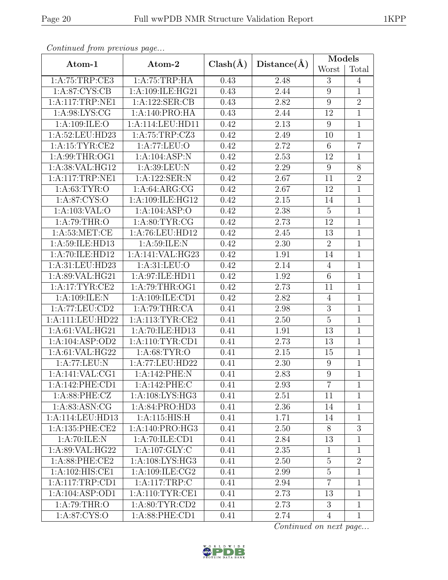| Continuea from previous page |                                             |              |             | <b>Models</b>    |                |  |
|------------------------------|---------------------------------------------|--------------|-------------|------------------|----------------|--|
| Atom-1                       | Atom-2                                      | $Clash(\AA)$ | Distance(A) | Worst            | Total          |  |
| 1: A:75:TRP:CE3              | 1:A:75:TRP:HA                               | 0.43         | 2.48        | 3                | $\overline{4}$ |  |
| 1: A:87: CYS:CB              | 1:A:109:ILE:HG21                            | 0.43         | 2.44        | $\overline{9}$   | $\overline{1}$ |  |
| 1:A:117:TRP:NE1              | 1:A:122:SER:CB                              | 0.43         | 2.82        | $\boldsymbol{9}$ | $\overline{2}$ |  |
| 1: A:98: LYS: CG             | 1:A:140:PRO:HA                              | 0.43         | 2.44        | 12               | $\overline{1}$ |  |
| 1:A:109:ILE:O                | 1:A:114:LEU:HD11                            | 0.42         | 2.13        | $\boldsymbol{9}$ | $\mathbf{1}$   |  |
| 1:A:52:LEU:HD23              | 1:A:75:TRP:CZ3                              | 0.42         | 2.49        | 10               | $\overline{1}$ |  |
| 1:A:15:TYR:CE2               | 1:A:77:LEU:O                                | 0.42         | 2.72        | $6\phantom{.}6$  | $\overline{7}$ |  |
| 1: A:99:THR:OG1              | 1:A:104:ASP:N                               | 0.42         | 2.53        | 12               | $\mathbf{1}$   |  |
| 1:A:38:VAL:HG12              | 1:A:39:LEU:N                                | 0.42         | 2.29        | 9                | $\overline{8}$ |  |
| 1:A:117:TRP:NE1              | 1:A:122:SER:N                               | 0.42         | 2.67        | 11               | $\overline{2}$ |  |
| 1: A:63: TYR:O               | 1: A:64: ARG:CG                             | 0.42         | 2.67        | 12               | $\mathbf{1}$   |  |
| 1: A:87: CYS:O               | 1:A:109:ILE:HG12                            | 0.42         | 2.15        | 14               | $\mathbf 1$    |  |
| 1:A:103:VAL:O                | 1:A:104:ASP:O                               | 0.42         | 2.38        | $\overline{5}$   | $\mathbf{1}$   |  |
| 1: A:79:THR:O                | 1: A:80: TYR: CG                            | 0.42         | 2.73        | 12               | $\mathbf{1}$   |  |
| 1: A:53: MET:CE              | 1:A:76:LEU:HD12                             | 0.42         | 2.45        | 13               | $\mathbf{1}$   |  |
| 1:A:59:ILE:HD13              | 1:A:59:ILE:N                                | 0.42         | 2.30        | $\overline{2}$   | $\mathbf{1}$   |  |
| 1:A:70:ILE:HD12              | 1:A:141:VAL:HG23                            | 0.42         | 1.91        | 14               | $\mathbf{1}$   |  |
| 1:A:31:LEU:HD23              | 1:A:31:LEU:O                                | 0.42         | 2.14        | $\overline{4}$   | $\mathbf 1$    |  |
| 1:A:89:VAL:HG21              | 1:A:97:ILE:HD11                             | 0.42         | 1.92        | $\overline{6}$   | $\overline{1}$ |  |
| 1:A:17:TYR:CE2               | 1:A:79:THR:OG1                              | 0.42         | 2.73        | 11               | $\mathbf{1}$   |  |
| 1:A:109:ILE:N                | $1:\overline{A:109:ILE:CD1}$                | 0.42         | 2.82        | $\overline{4}$   | $\mathbf{1}$   |  |
| 1:A:77:LEU:CD2               | 1:A:79:THR:CA                               | 0.41         | 2.98        | $\sqrt{3}$       | $\mathbf{1}$   |  |
| 1:A:111:LEU:HD22             | 1:A:113:TYR:CE2                             | 0.41         | 2.50        | $\overline{5}$   | $\overline{1}$ |  |
| 1: A:61: VAL: HG21           | 1:A:70:ILE:HD13                             | 0.41         | 1.91        | 13               | $\mathbf{1}$   |  |
| 1:A:104:ASP:OD2              | 1: A:110: TYR: CD1                          | 0.41         | 2.73        | 13               | $\mathbf{1}$   |  |
| 1:A:61:VAL:HG22              | 1: A:68: TYR:O                              | 0.41         | 2.15        | 15               | $\mathbf{1}$   |  |
| 1:A:77:LEU:N                 | 1:A:77:LEU:HD22                             | 0.41         | 2.30        | $\boldsymbol{9}$ | $\mathbf{1}$   |  |
| 1:A:141:VAL:CG1              | 1:A:142:PHE:N                               | 0.41         | 2.83        | $\overline{9}$   | $\mathbf{1}$   |  |
| 1:A:142:PHE:CD1              | 1:A:142:PHE:C                               | 0.41         | 2.93        | $\overline{7}$   | $\mathbf{1}$   |  |
| 1: A:88: PHE: CZ             | 1: A:108: LYS: HG3                          | 0.41         | $2.51\,$    | 11               | $\mathbf{1}$   |  |
| 1: A:83: ASN:CG              | 1: A:84: PRO:HD3                            | 0.41         | 2.36        | 14               | $\mathbf{1}$   |  |
| 1:A:114:LEU:HD13             | 1: A:115: HIS:H                             | 0.41         | 1.71        | 14               | $\mathbf{1}$   |  |
| 1: A: 135: PHE: CE2          | $1:A:140: \overline{\text{PRO:H}\text{G}3}$ | 0.41         | 2.50        | 8                | 3              |  |
| 1:A:70:ILE:N                 | 1:A:70:ILE:CD1                              | 0.41         | 2.84        | 13               | $\mathbf{1}$   |  |
| 1:A:89:VAL:HG22              | 1: A: 107: GLY: C                           | 0.41         | 2.35        | $\mathbf{1}$     | $\mathbf{1}$   |  |
| 1: A:88: PHE:CE2             | 1: A:108: LYS: HG3                          | 0.41         | 2.50        | $\overline{5}$   | $\overline{2}$ |  |
| 1:A:102:HIS:CE1              | 1: A: 109: ILE: CG2                         | 0.41         | 2.99        | $5\,$            | $\mathbf{1}$   |  |
| 1:A:117:TRP:CD1              | 1:A:117:TRP:C                               | 0.41         | 2.94        | $\overline{7}$   | $\mathbf{1}$   |  |
| 1:A:104:ASP:OD1              | 1: A:110: TYR: CE1                          | 0.41         | 2.73        | 13               | $\mathbf 1$    |  |
| 1: A:79:THR:O                | 1: A:80: TYR:CD2                            | 0.41         | 2.73        | $\overline{3}$   | $\overline{1}$ |  |
| 1:A:87:CYS:O                 | 1:A:88:PHE:CD1                              | 0.41         | 2.74        | 4                | 1              |  |

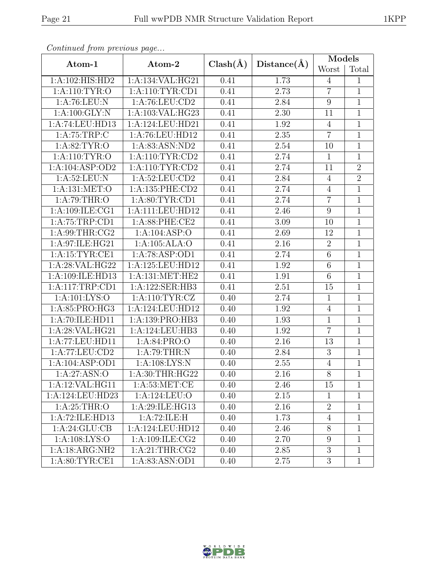| Continuea from previous page |                    |              |                   | Models          |                |
|------------------------------|--------------------|--------------|-------------------|-----------------|----------------|
| Atom-1                       | Atom-2             | $Clash(\AA)$ | Distance(A)       | Worst           | Total          |
| 1: A:102: HIS: HD2           | 1:A:134:VAL:HG21   | 0.41         | 1.73              | $\overline{4}$  | $\mathbf{1}$   |
| 1: A:110: TYR:O              | 1: A:110: TYR: CD1 | 0.41         | 2.73              | $\overline{7}$  | $\overline{1}$ |
| 1: A:76:LEU: N               | 1: A:76: LEU:CD2   | 0.41         | 2.84              | 9               | $\mathbf 1$    |
| 1: A:100: GLY:N              | 1:A:103:VAL:HG23   | 0.41         | 2.30              | 11              | $\mathbf{1}$   |
| 1:A:74:LEU:HD13              | 1:A:124:LEU:HD21   | 0.41         | 1.92              | $\overline{4}$  | $\mathbf 1$    |
| 1: A:75:TRP:C                | 1:A:76:LEU:HD12    | 0.41         | 2.35              | $\overline{7}$  | $\overline{1}$ |
| 1: A:82:TYR:O                | 1:A:83:ASN:ND2     | 0.41         | 2.54              | 10              | $\mathbf 1$    |
| 1: A:110: TYR:O              | $1:$ A:110:TYR:CD2 | 0.41         | 2.74              | $\mathbf{1}$    | $\mathbf{1}$   |
| 1:A:104:ASP:OD2              | 1: A:110: TYR: CD2 | 0.41         | 2.74              | 11              | $\overline{2}$ |
| 1: A:52:LEU: N               | 1:A:52:LEU:CD2     | 0.41         | 2.84              | $\overline{4}$  | $\overline{2}$ |
| 1:A:131:MET:O                | 1:A:135:PHE:CD2    | 0.41         | 2.74              | $\overline{4}$  | $\mathbf 1$    |
| 1: A:79:THR:O                | 1: A:80: TYR:CD1   | 0.41         | 2.74              | $\overline{7}$  | 1              |
| 1:A:109:ILE:CG1              | 1:A:111:LEU:HD12   | 0.41         | 2.46              | 9               | $\mathbf 1$    |
| 1: A:75:TRP:CD1              | 1:A:88:PHE:CE2     | 0.41         | $\overline{3.09}$ | 10              | $\mathbf{1}$   |
| 1: A:99:THR:CG2              | 1:A:104:ASP:O      | 0.41         | 2.69              | 12              | $\mathbf{1}$   |
| 1:A:97:ILE:HG21              | 1:A:105:ALA:O      | 0.41         | 2.16              | $\overline{2}$  | 1              |
| 1: A:15:TYR:CE1              | 1:A:78:ASP:OD1     | 0.41         | 2.74              | $6\phantom{.}6$ | $\mathbf{1}$   |
| 1:A:28:VAL:HG22              | 1:A:125:LEU:HD12   | 0.41         | 1.92              | $6\,$           | $\mathbf{1}$   |
| 1:A:109:ILE:HD13             | 1:A:131:MET:HE2    | 0.41         | 1.91              | $6\phantom{.}6$ | $\mathbf{1}$   |
| 1:A:117:TRP:CD1              | 1:A:122:SER:HB3    | 0.41         | 2.51              | 15              | $\mathbf{1}$   |
| 1: A: 101: LYS: O            | 1: A:110: TYR: CZ  | 0.40         | 2.74              | $\overline{1}$  | $\overline{1}$ |
| 1:A:85:PRO:HG3               | 1:A:124:LEU:HD12   | 0.40         | 1.92              | $\overline{4}$  | 1              |
| 1:A:70:ILE:HD11              | 1:A:139:PRO:HB3    | 0.40         | 1.93              | $\mathbf{1}$    | $\mathbf{1}$   |
| 1:A:28:VAL:HG21              | 1:A:124:LEU:HB3    | 0.40         | 1.92              | $\overline{7}$  | $\mathbf{1}$   |
| 1:A:77:LEU:HD11              | 1:A:84:PRO:O       | 0.40         | 2.16              | 13              | $\mathbf{1}$   |
| 1:A:77:LEU:CD2               | 1:A:79:THR:N       | 0.40         | 2.84              | 3               | $\mathbf 1$    |
| 1:A:104:ASP:OD1              | 1:A:108:LYS:N      | 0.40         | $2.55\,$          | $\overline{4}$  | $\mathbf 1$    |
| 1:A:27:ASN:O                 | 1:A:30:THR:HG22    | 0.40         | 2.16              | $\overline{8}$  | 1              |
| 1:A:12:VAL:HG11              | 1: A:53:MET:CE     | 0.40         | 2.46              | 15              | 1              |
| 1:A:124:LEU:HD23             | 1:A:124:LEU:O      | 0.40         | 2.15              | $\mathbf{1}$    | 1              |
| 1: A:25:THR:O                | 1:A:29:ILE:HG13    | 0.40         | 2.16              | $\overline{2}$  | 1              |
| 1:A:72:ILE:HD13              | 1:A:72:ILE:H       | 0.40         | 1.73              | $\overline{4}$  | 1              |
| 1: A:24: GLU:CB              | 1:A:124:LEU:HD12   | 0.40         | 2.46              | $8\,$           | 1              |
| 1: A:108: LYS:O              | 1:A:109:ILE:CG2    | 0.40         | 2.70              | $9\phantom{.0}$ | $\mathbf{1}$   |
| 1:A:18:ARG:NH2               | 1: A:21:THR:CG2    | 0.40         | 2.85              | 3               | $\mathbf{1}$   |
| 1: A:80: TYR: CE1            | 1:A:83:ASN:OD1     | 0.40         | 2.75              | 3               | $\mathbf{1}$   |

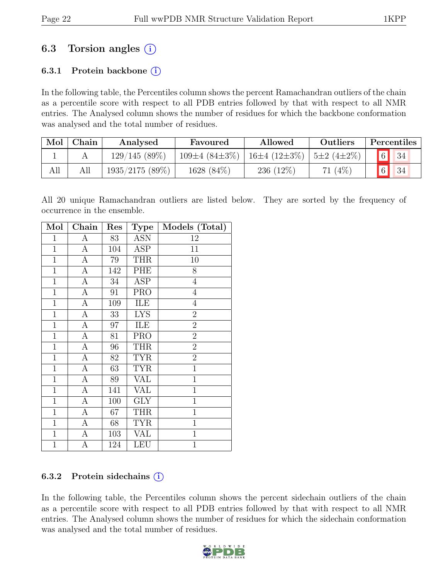## 6.3 Torsion angles (i)

### 6.3.1 Protein backbone  $(i)$

In the following table, the Percentiles column shows the percent Ramachandran outliers of the chain as a percentile score with respect to all PDB entries followed by that with respect to all NMR entries. The Analysed column shows the number of residues for which the backbone conformation was analysed and the total number of residues.

| Mol | Chain | Analysed          | Favoured            | Allowed            | Outliers                    | Percentiles       |
|-----|-------|-------------------|---------------------|--------------------|-----------------------------|-------------------|
|     |       | 129/145(89%)      | $109\pm4(84\pm3\%)$ | $16\pm4(12\pm3\%)$ | $\frac{5 \pm 2}{4 \pm 2\%}$ | $\boxed{6}$<br>34 |
| All | All   | $1935/2175(89\%)$ | 1628 (84\%)         | 236 (12\%)         | $(4\%)$<br>71               | 6 <br>34          |

All 20 unique Ramachandran outliers are listed below. They are sorted by the frequency of occurrence in the ensemble.

| Mol            | Chain              | Res | <b>Type</b>             | Models (Total) |
|----------------|--------------------|-----|-------------------------|----------------|
| $\mathbf 1$    | А                  | 83  | <b>ASN</b>              | 12             |
| $\overline{1}$ | $\overline{A}$     | 104 | ASP                     | 11             |
| $\mathbf{1}$   | А                  | 79  | <b>THR</b>              | 10             |
| $\mathbf{1}$   | $\overline{\rm A}$ | 142 | PHE                     | 8              |
| $\mathbf{1}$   | А                  | 34  | <b>ASP</b>              | $\overline{4}$ |
| $\overline{1}$ | А                  | 91  | <b>PRO</b>              | $\overline{4}$ |
| $\mathbf 1$    | А                  | 109 | ILE                     | $\overline{4}$ |
| $\mathbf{1}$   | А                  | 33  | <b>LYS</b>              | $\overline{2}$ |
| $\mathbf{1}$   | А                  | 97  | ILE                     | $\overline{2}$ |
| $\mathbf 1$    | A                  | 81  | <b>PRO</b>              | $\overline{2}$ |
| $\overline{1}$ | А                  | 96  | <b>THR</b>              | $\overline{2}$ |
| $\mathbf{1}$   | A                  | 82  | <b>TYR</b>              | $\overline{2}$ |
| $\overline{1}$ | A                  | 63  | <b>TYR</b>              | $\overline{1}$ |
| $\mathbf{1}$   | А                  | 89  | <b>VAL</b>              | $\overline{1}$ |
| $\mathbf{1}$   | А                  | 141 | VAL                     | $\mathbf{1}$   |
| $\mathbf 1$    | А                  | 100 | GLY                     | $\mathbf 1$    |
| $\mathbf{1}$   | А                  | 67  | <b>THR</b>              | $\mathbf{1}$   |
| $\mathbf{1}$   | $\boldsymbol{A}$   | 68  | $\overline{\text{TYR}}$ | $\mathbf{1}$   |
| $\mathbf 1$    | А                  | 103 | <b>VAL</b>              | $\overline{1}$ |
| $\mathbf{1}$   | А                  | 124 | LEU                     | $\mathbf{1}$   |

### 6.3.2 Protein sidechains  $(i)$

In the following table, the Percentiles column shows the percent sidechain outliers of the chain as a percentile score with respect to all PDB entries followed by that with respect to all NMR entries. The Analysed column shows the number of residues for which the sidechain conformation was analysed and the total number of residues.

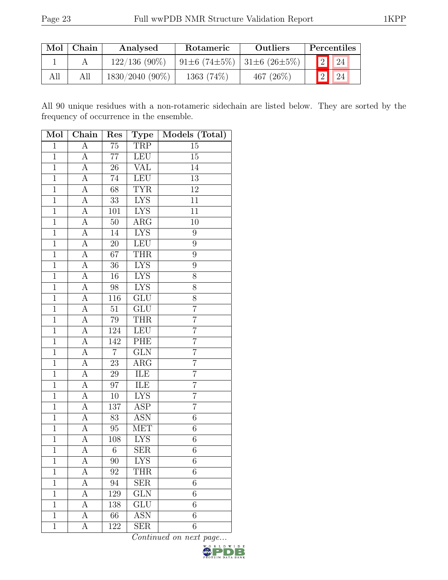|     | $Mol$   Chain | Analysed        | Rotameric                   | Outliers     | Percentiles              |
|-----|---------------|-----------------|-----------------------------|--------------|--------------------------|
|     |               | $122/136(90\%)$ | 91±6 (74±5%)   31±6 (26±5%) |              | 2 24                     |
| All |               | 1830/2040 (90%) | $1363(74\%)$                | 467 $(26\%)$ | $\boxed{2}$ $\boxed{24}$ |

All 90 unique residues with a non-rotameric sidechain are listed below. They are sorted by the frequency of occurrence in the ensemble.

| Mol            | Chain              | Res             | <b>Type</b>             | Models (Total)   |
|----------------|--------------------|-----------------|-------------------------|------------------|
| $\overline{1}$ | А                  | $\overline{75}$ | TRP                     | 15               |
| $\overline{1}$ | А                  | $\overline{77}$ | LEU                     | 15               |
| $\overline{1}$ | A                  | $26\,$          | <b>VAL</b>              | 14               |
| $\overline{1}$ | A                  | $\overline{74}$ | <b>LEU</b>              | 13               |
| $\overline{1}$ | A                  | 68              | <b>TYR</b>              | 12               |
| $\overline{1}$ | А                  | $\overline{33}$ | <b>LYS</b>              | $\overline{11}$  |
| $\mathbf{1}$   | A                  | 101             | <b>LYS</b>              | 11               |
| $\mathbf{1}$   | А                  | $50\,$          | $\overline{\rm{ARG}}$   | 10               |
| $\mathbf{1}$   | $\overline{A}$     | 14              | <b>LYS</b>              | $\boldsymbol{9}$ |
| $\overline{1}$ | $\overline{\rm A}$ | $\overline{2}0$ | ${\rm LEU}$             | $\boldsymbol{9}$ |
| $\overline{1}$ | $\overline{A}$     | $\overline{67}$ | <b>THR</b>              | $\overline{9}$   |
| $\mathbf{1}$   | A                  | 36              | <b>LYS</b>              | 9                |
| $\mathbf{1}$   | $\overline{\rm A}$ | 16              | <b>LYS</b>              | 8                |
| $\overline{1}$ | $\overline{A}$     | $98\,$          | ${\rm LYS}$             | $\overline{8}$   |
| $\overline{1}$ | $\overline{A}$     | 116             | GLU                     | $\overline{8}$   |
| $\overline{1}$ | $\overline{A}$     | $\overline{51}$ | GLU                     | $\overline{7}$   |
| $\mathbf{1}$   | A                  | $79\,$          | <b>THR</b>              | $\overline{7}$   |
| $\overline{1}$ | $\overline{A}$     | 124             | <b>LEU</b>              | $\overline{7}$   |
| $1\,$          | А                  | 142             | PHE                     | $\overline{7}$   |
| $\overline{1}$ | A                  | $\overline{7}$  | GLN                     | $\overline{7}$   |
| $\overline{1}$ | А                  | $23\,$          | $\overline{\text{ARG}}$ | $\overline{7}$   |
| $\overline{1}$ | A                  | $\,29$          | ILE                     | $\overline{7}$   |
| $\overline{1}$ | А                  | 97              | ILE                     | $\overline{7}$   |
| $\overline{1}$ | А                  | $10\,$          | <b>LYS</b>              | $\overline{7}$   |
| $\overline{1}$ | А                  | 137             | ASP                     | $\overline{7}$   |
| $\overline{1}$ | А                  | 83              | <b>ASN</b>              | $\overline{6}$   |
| $\mathbf{1}$   | А                  | $95\,$          | MET                     | $\,6\,$          |
| $\overline{1}$ | $\overline{A}$     | 108             | <b>LYS</b>              | 6                |
| $\mathbf{1}$   | A                  | 6               | <b>SER</b>              | $\sqrt{6}$       |
| 1              | А                  | 90              | <b>LYS</b>              | 6                |
| $\overline{1}$ | А                  | 92              | <b>THR</b>              | 6                |
| $\mathbf 1$    | А                  | 94              | <b>SER</b>              | 6                |
| $\mathbf{1}$   | А                  | 129             | GLN                     | $\sqrt{6}$       |
| $\mathbf{1}$   | А                  | 138             | GLU                     | 6                |
| $\overline{1}$ | А                  | 66              | <b>ASN</b>              | $\overline{6}$   |
| 1              | А                  | 122             | <b>SER</b>              | 6                |

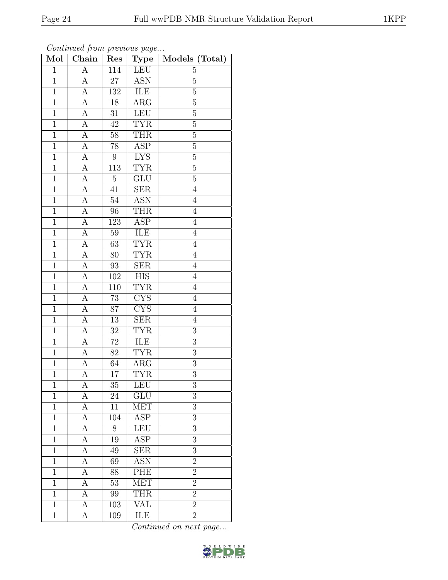| Mol            | Chain              | Res             | <b>Type</b>             | Models (Total) |
|----------------|--------------------|-----------------|-------------------------|----------------|
| $\mathbf{1}$   | $\overline{\rm A}$ | 114             | LEU                     | $\overline{5}$ |
| $\mathbf{1}$   | $\boldsymbol{A}$   | 27              | <b>ASN</b>              | $\mathbf 5$    |
| $\mathbf{1}$   | $\overline{\rm A}$ | 132             | ILE                     | $\overline{5}$ |
| $\mathbf{1}$   | $\boldsymbol{A}$   | 18              | $\rm{ARG}$              | $\overline{5}$ |
| $\overline{1}$ | $\overline{\rm A}$ | $\overline{31}$ | LEU                     | $\overline{5}$ |
| $\mathbf{1}$   | A                  | 42              | <b>TYR</b>              | $\bf 5$        |
| $\mathbf{1}$   | A                  | $58\,$          | THR                     | $\overline{5}$ |
| $\mathbf{1}$   | $\boldsymbol{A}$   | 78              | $\overline{\text{ASP}}$ | $\overline{5}$ |
| $\mathbf{1}$   | A                  | $\overline{9}$  | <b>LYS</b>              | $\overline{5}$ |
| $\overline{1}$ | $\boldsymbol{A}$   | 113             | <b>TYR</b>              | $\overline{5}$ |
| $\mathbf{1}$   | А                  | $\overline{5}$  | GLU                     | $\overline{5}$ |
| $\mathbf{1}$   | $\boldsymbol{A}$   | 41              | SER                     | $\overline{4}$ |
| $\mathbf{1}$   | А                  | $54\,$          | <b>ASN</b>              | $\overline{4}$ |
| $\mathbf{1}$   | $\boldsymbol{A}$   | 96              | <b>THR</b>              | $\overline{4}$ |
| $\mathbf{1}$   | А                  | 123             | $\overline{\text{ASP}}$ | $\overline{4}$ |
| $\mathbf{1}$   | $\boldsymbol{A}$   | $59\,$          | ILE                     | $\overline{4}$ |
| $\mathbf{1}$   | $\boldsymbol{A}$   | 63              | <b>TYR</b>              | $\overline{4}$ |
| $\mathbf{1}$   | $\boldsymbol{A}$   | 80              | <b>TYR</b>              | $\overline{4}$ |
| $\mathbf{1}$   | $\boldsymbol{A}$   | 93              | $\overline{\text{SER}}$ | $\overline{4}$ |
| $\overline{1}$ | $\overline{A}$     | <b>102</b>      | $\overline{HIS}$        | $\overline{4}$ |
| $\mathbf{1}$   | $\boldsymbol{A}$   | 110             | <b>TYR</b>              | $\overline{4}$ |
| $\mathbf{1}$   | $\overline{A}$     | $\overline{73}$ | $\overline{\text{CYS}}$ | $\overline{4}$ |
| $\mathbf{1}$   | $\boldsymbol{A}$   | 87              | <b>CYS</b>              | $\overline{4}$ |
| $\overline{1}$ | $\overline{\rm A}$ | $\overline{13}$ | $\overline{\text{SER}}$ | $\overline{4}$ |
| $\mathbf{1}$   | А                  | $32\,$          | <b>TYR</b>              | $\overline{3}$ |
| $\mathbf{1}$   | A                  | 72              | ILE                     | 3              |
| $\mathbf{1}$   | $\boldsymbol{A}$   | 82              | <b>TYR</b>              | $\overline{3}$ |
| $\overline{1}$ | А                  | 64              | $\rm{ARG}$              | $\overline{3}$ |
| $\overline{1}$ | $\overline{A}$     | 17              | <b>TYR</b>              | $\overline{3}$ |
| 1              | А                  | 35              | LEU                     | 3              |
| 1              | A                  | 24              | GLU                     | 3              |
| $\mathbf{1}$   | А                  | 11              | MET                     | 3              |
| $\mathbf{1}$   | А                  | 104             | ASP                     | 3              |
| $\mathbf{1}$   | А                  | 8               | LEU                     | 3              |
| $\mathbf{1}$   | А                  | 19              | ASP                     | 3              |
| $\mathbf{1}$   | А                  | 49              | <b>SER</b>              | 3              |
| $\mathbf{1}$   | А                  | 69              | <b>ASN</b>              | $\overline{2}$ |
| $\mathbf{1}$   | А                  | 88              | PHE                     | $\overline{2}$ |
| $\overline{1}$ | А                  | 53              | <b>MET</b>              | $\overline{2}$ |
| 1              | A                  | 99              | <b>THR</b>              | $\overline{2}$ |
| $\mathbf 1$    | А                  | 103             | $\overline{\text{VAL}}$ | $\overline{2}$ |
| $\mathbf{1}$   | А                  | 109             | ILE                     | $\overline{2}$ |

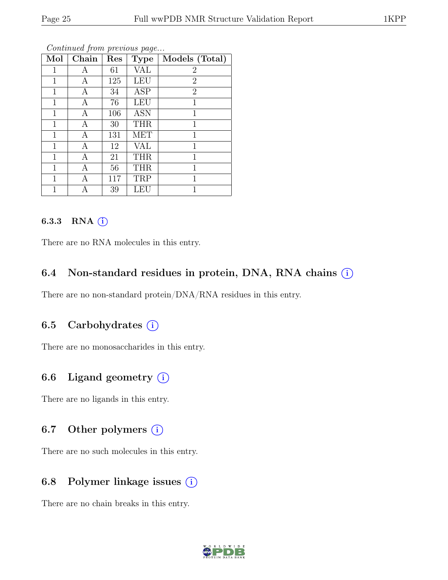| Mol          | Chain | Res | <b>Type</b> | Models (Total) |
|--------------|-------|-----|-------------|----------------|
| 1            | А     | 61  | VAL         | $\overline{2}$ |
| $\mathbf{1}$ | А     | 125 | <b>LEU</b>  | $\overline{2}$ |
| 1            | Α     | 34  | ASP         | $\overline{2}$ |
| $\mathbf{1}$ | А     | 76  | LEU         | 1              |
| 1            | Α     | 106 | <b>ASN</b>  | 1              |
| 1            | А     | 30  | <b>THR</b>  | $\mathbf{1}$   |
| $\mathbf{1}$ | А     | 131 | <b>MET</b>  | $\mathbf{1}$   |
| 1            | А     | 12  | <b>VAL</b>  | $\mathbf{1}$   |
| 1            | А     | 21  | <b>THR</b>  | 1              |
| 1            | А     | 56  | <b>THR</b>  | 1              |
| 1            | Α     | 117 | TRP         | 1              |
| 1            | А     | 39  | LEU         | 1              |

### 6.3.3 RNA  $(i)$

There are no RNA molecules in this entry.

### 6.4 Non-standard residues in protein, DNA, RNA chains (i)

There are no non-standard protein/DNA/RNA residues in this entry.

### 6.5 Carbohydrates  $(i)$

There are no monosaccharides in this entry.

## 6.6 Ligand geometry  $(i)$

There are no ligands in this entry.

### 6.7 Other polymers (i)

There are no such molecules in this entry.

### 6.8 Polymer linkage issues  $(i)$

There are no chain breaks in this entry.